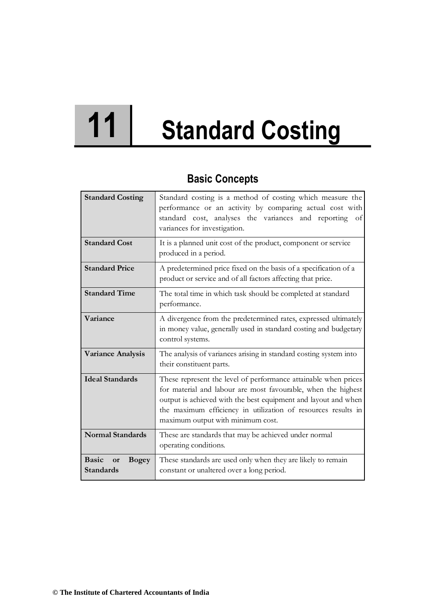# **11 Standard Costing**

# **Basic Concepts**

| <b>Standard Costing</b>                                | Standard costing is a method of costing which measure the<br>performance or an activity by comparing actual cost with<br>standard cost, analyses the variances and reporting<br>of<br>variances for investigation.                                                                                       |
|--------------------------------------------------------|----------------------------------------------------------------------------------------------------------------------------------------------------------------------------------------------------------------------------------------------------------------------------------------------------------|
| <b>Standard Cost</b>                                   | It is a planned unit cost of the product, component or service<br>produced in a period.                                                                                                                                                                                                                  |
| <b>Standard Price</b>                                  | A predetermined price fixed on the basis of a specification of a<br>product or service and of all factors affecting that price.                                                                                                                                                                          |
| <b>Standard Time</b>                                   | The total time in which task should be completed at standard<br>performance.                                                                                                                                                                                                                             |
| Variance                                               | A divergence from the predetermined rates, expressed ultimately<br>in money value, generally used in standard costing and budgetary<br>control systems.                                                                                                                                                  |
| <b>Variance Analysis</b>                               | The analysis of variances arising in standard costing system into<br>their constituent parts.                                                                                                                                                                                                            |
| <b>Ideal Standards</b>                                 | These represent the level of performance attainable when prices<br>for material and labour are most favourable, when the highest<br>output is achieved with the best equipment and layout and when<br>the maximum efficiency in utilization of resources results in<br>maximum output with minimum cost. |
| <b>Normal Standards</b>                                | These are standards that may be achieved under normal<br>operating conditions.                                                                                                                                                                                                                           |
| <b>Basic</b><br><b>Bogey</b><br>or<br><b>Standards</b> | These standards are used only when they are likely to remain<br>constant or unaltered over a long period.                                                                                                                                                                                                |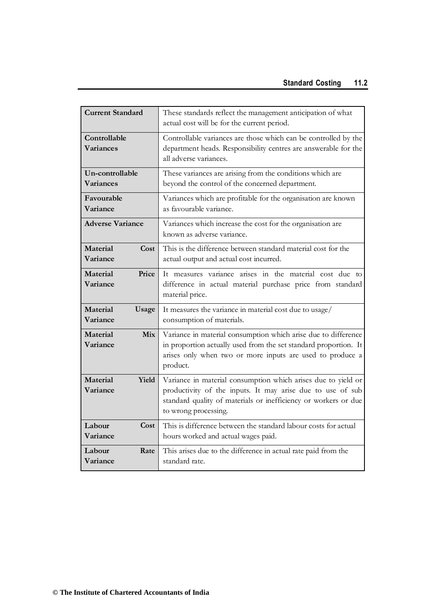| <b>Current Standard</b>                   | These standards reflect the management anticipation of what<br>actual cost will be for the current period.                                                                                                             |
|-------------------------------------------|------------------------------------------------------------------------------------------------------------------------------------------------------------------------------------------------------------------------|
| Controllable<br>Variances                 | Controllable variances are those which can be controlled by the<br>department heads. Responsibility centres are answerable for the<br>all adverse variances.                                                           |
| Un-controllable<br><b>Variances</b>       | These variances are arising from the conditions which are<br>beyond the control of the concerned department.                                                                                                           |
| Favourable<br>Variance                    | Variances which are profitable for the organisation are known<br>as favourable variance.                                                                                                                               |
| <b>Adverse Variance</b>                   | Variances which increase the cost for the organisation are<br>known as adverse variance.                                                                                                                               |
| <b>Material</b><br>Cost<br>Variance       | This is the difference between standard material cost for the<br>actual output and actual cost incurred.                                                                                                               |
| Price<br><b>Material</b><br>Variance      | It measures variance arises in the material cost due to<br>difference in actual material purchase price from standard<br>material price.                                                                               |
| <b>Material</b><br>Usage<br>Variance      | It measures the variance in material cost due to usage/<br>consumption of materials.                                                                                                                                   |
| <b>Material</b><br><b>Mix</b><br>Variance | Variance in material consumption which arise due to difference<br>in proportion actually used from the set standard proportion. It<br>arises only when two or more inputs are used to produce a<br>product.            |
| <b>Material</b><br>Yield<br>Variance      | Variance in material consumption which arises due to yield or<br>productivity of the inputs. It may arise due to use of sub<br>standard quality of materials or inefficiency or workers or due<br>to wrong processing. |
| Cost<br>Labour<br>Variance                | This is difference between the standard labour costs for actual<br>hours worked and actual wages paid.                                                                                                                 |
| Labour<br>Rate<br>Variance                | This arises due to the difference in actual rate paid from the<br>standard rate.                                                                                                                                       |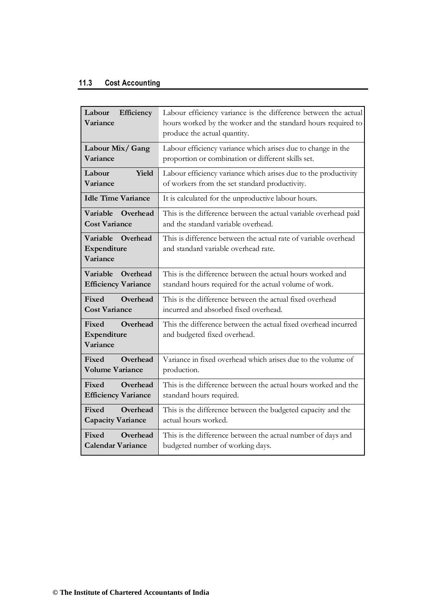#### **11.3 Cost Accounting**

| Labour<br>Efficiency<br>Variance                     | Labour efficiency variance is the difference between the actual<br>hours worked by the worker and the standard hours required to<br>produce the actual quantity. |
|------------------------------------------------------|------------------------------------------------------------------------------------------------------------------------------------------------------------------|
| Labour Mix/Gang<br>Variance                          | Labour efficiency variance which arises due to change in the<br>proportion or combination or different skills set.                                               |
| <b>Yield</b><br>Labour<br>Variance                   | Labour efficiency variance which arises due to the productivity<br>of workers from the set standard productivity.                                                |
| <b>Idle Time Variance</b>                            | It is calculated for the unproductive labour hours.                                                                                                              |
| <b>Variable</b><br>Overhead<br><b>Cost Variance</b>  | This is the difference between the actual variable overhead paid<br>and the standard variable overhead.                                                          |
| Variable<br>Overhead<br>Expenditure<br>Variance      | This is difference between the actual rate of variable overhead<br>and standard variable overhead rate.                                                          |
| Overhead<br>Variable<br><b>Efficiency Variance</b>   | This is the difference between the actual hours worked and<br>standard hours required for the actual volume of work.                                             |
| Overhead<br><b>Fixed</b><br><b>Cost Variance</b>     | This is the difference between the actual fixed overhead<br>incurred and absorbed fixed overhead.                                                                |
| Overhead<br>Fixed<br>Expenditure<br>Variance         | This the difference between the actual fixed overhead incurred<br>and budgeted fixed overhead.                                                                   |
| Overhead<br>Fixed<br><b>Volume Variance</b>          | Variance in fixed overhead which arises due to the volume of<br>production.                                                                                      |
| Fixed<br>Overhead<br><b>Efficiency Variance</b>      | This is the difference between the actual hours worked and the<br>standard hours required.                                                                       |
| Fixed<br>Overhead<br><b>Capacity Variance</b>        | This is the difference between the budgeted capacity and the<br>actual hours worked.                                                                             |
| Overhead<br><b>Fixed</b><br><b>Calendar Variance</b> | This is the difference between the actual number of days and<br>budgeted number of working days.                                                                 |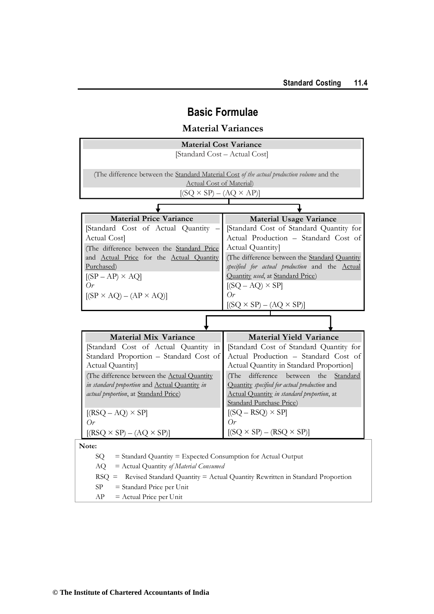# **Basic Formulae**

## **Material Variances**

| <b>Material Cost Variance</b>                                                              |                                                |  |
|--------------------------------------------------------------------------------------------|------------------------------------------------|--|
| [Standard Cost - Actual Cost]                                                              |                                                |  |
|                                                                                            |                                                |  |
| (The difference between the Standard Material Cost of the actual production volume and the |                                                |  |
| <b>Actual Cost of Material)</b>                                                            |                                                |  |
| $[(SQ \times SP) - (AQ \times AP)]$                                                        |                                                |  |
|                                                                                            |                                                |  |
| <b>Material Price Variance</b>                                                             | <b>Material Usage Variance</b>                 |  |
| [Standard Cost of Actual Quantity                                                          | [Standard Cost of Standard Quantity for        |  |
| Actual Cost]                                                                               | Actual Production - Standard Cost of           |  |
| (The difference between the Standard Price                                                 | Actual Quantity]                               |  |
| and Actual Price for the Actual Quantity                                                   | (The difference between the Standard Quantity  |  |
| Purchased)                                                                                 | specified for actual production and the Actual |  |
| $[(SP - AP) \times AQ]$                                                                    | Quantity used, at Standard Price)              |  |
| Or                                                                                         | $[(SQ - AQ) \times SP]$                        |  |
| $[(SP \times AQ) - (AP \times AQ)]$                                                        | $O_r$                                          |  |
|                                                                                            | $[(SQ \times SP) - (AQ \times SP)]$            |  |
|                                                                                            |                                                |  |
| <b>Material Mix Variance</b>                                                               | <b>Material Yield Variance</b>                 |  |
| [Standard Cost of Actual Quantity in                                                       | [Standard Cost of Standard Quantity for        |  |
| Standard Proportion - Standard Cost of                                                     | Actual Production - Standard Cost of           |  |
| Actual Quantity]                                                                           | Actual Quantity in Standard Proportion]        |  |
| (The difference between the Actual Quantity                                                | (The difference between the<br>Standard        |  |
| in standard proportion and Actual Quantity in                                              | Quantity specified for actual production and   |  |
| actual proportion, at Standard Price)                                                      | Actual Quantity in standard proportion, at     |  |
|                                                                                            | <b>Standard Purchase Price)</b>                |  |
| $[(RSQ - AQ) \times SP]$                                                                   | $[(SQ - RSQ) \times SP]$                       |  |
| $O_r$                                                                                      | $O_r$                                          |  |
| $[(RSQ \times SP) - (AQ \times SP)]$                                                       | $[(SQ \times SP) - (RSQ \times SP)]$           |  |
| Note:                                                                                      |                                                |  |
| SQ<br>$=$ Standard Quantity $=$ Expected Consumption for Actual Output                     |                                                |  |
| = Actual Quantity of Material Consumed<br>AQ                                               |                                                |  |
| $RSQ =$<br>Revised Standard Quantity = Actual Quantity Rewritten in Standard Proportion    |                                                |  |
| SP<br>= Standard Price per Unit                                                            |                                                |  |
| $=$ Actual Price per Unit<br>АP                                                            |                                                |  |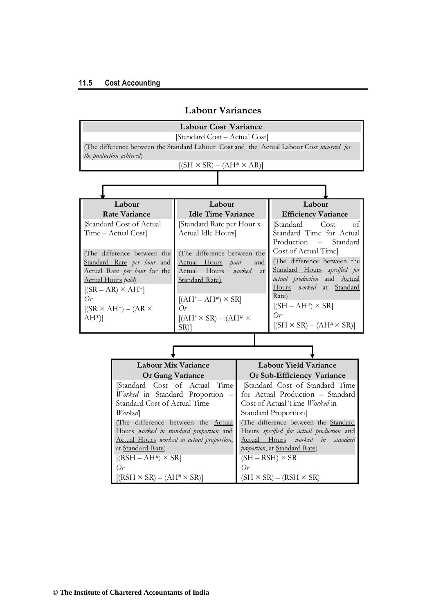|                                                                                          | <b>Labour Cost Variance</b>                             |                                                       |                                                          |  |
|------------------------------------------------------------------------------------------|---------------------------------------------------------|-------------------------------------------------------|----------------------------------------------------------|--|
|                                                                                          | [Standard Cost - Actual Cost]                           |                                                       |                                                          |  |
| (The difference between the Standard Labour Cost and the Actual Labour Cost incurred for |                                                         |                                                       |                                                          |  |
| the production achieved)                                                                 |                                                         |                                                       |                                                          |  |
|                                                                                          | $[(SH \times SR) - (AH^* \times AR)]$                   |                                                       |                                                          |  |
|                                                                                          |                                                         |                                                       |                                                          |  |
|                                                                                          |                                                         |                                                       |                                                          |  |
| Labour                                                                                   | Labour                                                  |                                                       | Labour                                                   |  |
| <b>Rate Variance</b>                                                                     | <b>Idle Time Variance</b>                               |                                                       | <b>Efficiency Variance</b>                               |  |
| [Standard Cost of Actual                                                                 | [Standard Rate per Hour x                               |                                                       | Cost<br>[Standard<br>οf                                  |  |
| Time - Actual Cost]                                                                      | Actual Idle Hours]                                      |                                                       | Standard Time for Actual<br>Production -<br>Standard     |  |
| (The difference between the                                                              |                                                         |                                                       | Cost of Actual Time]                                     |  |
| Standard Rate per hour and                                                               | (The difference between the<br>Actual Hours paid<br>and |                                                       | (The difference between the                              |  |
| Actual Rate per hour for the                                                             | Actual Hours<br>worked<br><i>at</i>                     |                                                       | Standard Hours specified for                             |  |
| Actual Hours paid)                                                                       | Standard Rate)                                          |                                                       | actual production and Actual<br>Hours worked at Standard |  |
| $[(SR - AR) \times AH^*]$                                                                |                                                         |                                                       | Rate)                                                    |  |
| Or<br>$[(SR \times AH^*) - (AR \times$                                                   | $[(AH^* - AH^*) \times SR]$<br>$O_r$                    |                                                       | $[(SH - AH^*) \times SR]$                                |  |
| $AH^*$ ]                                                                                 | $[(AH^* \times SR) - (AH^* \times$                      |                                                       | $O_r$                                                    |  |
|                                                                                          | $SR$ ]                                                  |                                                       | $[(SH \times SR) - (AH^{\#} \times SR)]$                 |  |
|                                                                                          |                                                         |                                                       |                                                          |  |
|                                                                                          |                                                         |                                                       |                                                          |  |
| <b>Labour Mix Variance</b>                                                               |                                                         | <b>Labour Yield Variance</b>                          |                                                          |  |
| <b>Or Gang Variance</b>                                                                  |                                                         | Or Sub-Efficiency Variance                            |                                                          |  |
| Time<br>[Standard Cost of Actual]                                                        |                                                         | [Standard Cost of Standard Time                       |                                                          |  |
| Worked in Standard Proportion -                                                          |                                                         | for Actual Production - Standard                      |                                                          |  |
| Standard Cost of Actual Time<br><b>Worked</b>                                            |                                                         | Cost of Actual Time Worked in<br>Standard Proportion] |                                                          |  |
| (The difference between the Actual                                                       |                                                         | (The difference between the Standard                  |                                                          |  |
| Hours worked in standard proportion and                                                  |                                                         | Hours specified for actual production and             |                                                          |  |
| Actual Hours worked in actual proportion,                                                |                                                         | Actual Hours worked in standard                       |                                                          |  |
| at Standard Rate)                                                                        |                                                         | proportion, at Standard Rate)                         |                                                          |  |
| $[(RSH - AH^*) \times SR]$<br>$O_r$                                                      |                                                         | $O_r$                                                 | $(SH - RSH) \times SR$                                   |  |
|                                                                                          |                                                         |                                                       |                                                          |  |
| $[(RSH \times SR) - (AH^* \times SR)]$                                                   |                                                         |                                                       | $(SH \times SR) - (RSH \times SR)$                       |  |

## **Labour Variances**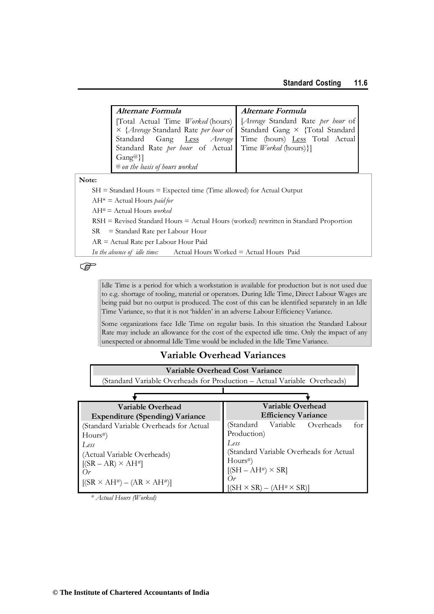#### **Standard Costing 11.6**

| Alternate Formula                                                                                                                                                                           | Alternate Formula |
|---------------------------------------------------------------------------------------------------------------------------------------------------------------------------------------------|-------------------|
| Total Actual Time <i>Worked</i> (hours) [ <i>Average</i> Standard Rate <i>per hour</i> of $\times$ { <i>Average</i> Standard Rate <i>per hour</i> of Standard Gang $\times$ {Total Standard |                   |
|                                                                                                                                                                                             |                   |
| Standard Gang Less Average Time (hours) Less Total Actual                                                                                                                                   |                   |
| Standard Rate per hour of Actual   Time Worked (hours)}]                                                                                                                                    |                   |
| $\{Gang@}\}$                                                                                                                                                                                |                   |
| <sup>@</sup> on the basis of hours worked                                                                                                                                                   |                   |

#### **Note:**

SH = Standard Hours = Expected time (Time allowed) for Actual Output

AH\* = Actual Hours *paid for*

AH# = Actual Hours *worked*

RSH = Revised Standard Hours = Actual Hours (worked) rewritten in Standard Proportion

SR = Standard Rate per Labour Hour

AR = Actual Rate per Labour Hour Paid

*In the absence of idle time:* Actual Hours Worked = Actual Hours Paid

 $\mathbb{G}$ 

Idle Time is a period for which a workstation is available for production but is not used due to e.g. shortage of tooling, material or operators. During Idle Time, Direct Labour Wages are being paid but no output is produced. The cost of this can be identified separately in an Idle Time Variance, so that it is not 'hidden' in an adverse Labour Efficiency Variance.

Some organizations face Idle Time on regular basis. In this situation the Standard Labour Rate may include an allowance for the cost of the expected idle time. Only the impact of any unexpected or abnormal Idle Time would be included in the Idle Time Variance.

#### **Variable Overhead Variances**

**Variable Overhead Cost Variance** (Standard Variable Overheads for Production – Actual Variable Overheads)

| Variable Overhead                       | Variable Overhead                       |  |  |
|-----------------------------------------|-----------------------------------------|--|--|
| <b>Expenditure (Spending) Variance</b>  | <b>Efficiency Variance</b>              |  |  |
| (Standard Variable Overheads for Actual | Variable Overheads<br>(Standard<br>for  |  |  |
| Hours#                                  | Production)                             |  |  |
| Less                                    | Less                                    |  |  |
| (Actual Variable Overheads)             | (Standard Variable Overheads for Actual |  |  |
| $[(SR - AR) \times AH^*]$               | $Hours^{#}$                             |  |  |
| $O_r$                                   | $[(SH-AH^#) \times SR]$                 |  |  |
| $[(SR \times AH^*) - (AR \times AH^*)]$ | (r)                                     |  |  |
|                                         | $[(SH \times SR) - (AH^* \times SR)]$   |  |  |

*# Actual Hours (Worked)*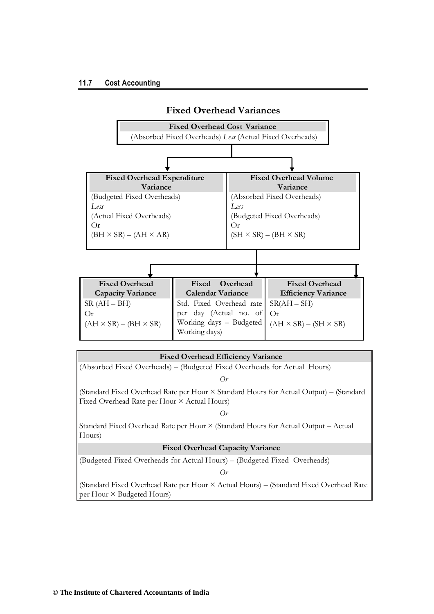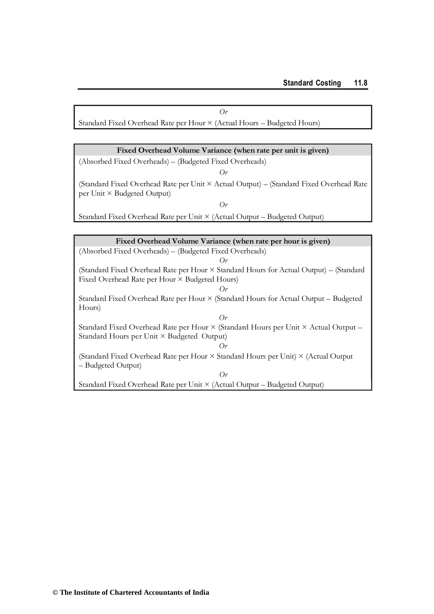*Or*

Standard Fixed Overhead Rate per Hour × (Actual Hours – Budgeted Hours)

#### **Fixed Overhead Volume Variance (when rate per unit is given)**

(Absorbed Fixed Overheads) – (Budgeted Fixed Overheads) *Or*

(Standard Fixed Overhead Rate per Unit × Actual Output) – (Standard Fixed Overhead Rate per Unit × Budgeted Output)

*Or*

Standard Fixed Overhead Rate per Unit × (Actual Output – Budgeted Output)

| Fixed Overhead Volume Variance (when rate per hour is given)                           |  |  |
|----------------------------------------------------------------------------------------|--|--|
| (Absorbed Fixed Overheads) – (Budgeted Fixed Overheads)                                |  |  |
| $O_r$                                                                                  |  |  |
| (Standard Fixed Overhead Rate per Hour × Standard Hours for Actual Output) – (Standard |  |  |
| Fixed Overhead Rate per Hour $\times$ Budgeted Hours)                                  |  |  |
| $O_r$                                                                                  |  |  |
| Standard Fixed Overhead Rate per Hour × (Standard Hours for Actual Output – Budgeted   |  |  |
| Hours)                                                                                 |  |  |
| $O_r$                                                                                  |  |  |
| Standard Fixed Overhead Rate per Hour × (Standard Hours per Unit × Actual Output –     |  |  |
| Standard Hours per Unit × Budgeted Output)                                             |  |  |
| $O_r$                                                                                  |  |  |
| (Standard Fixed Overhead Rate per Hour × Standard Hours per Unit) × (Actual Output     |  |  |
| - Budgeted Output)                                                                     |  |  |
| $O_r$                                                                                  |  |  |
| Standard Fixed Overhead Rate per Unit × (Actual Output – Budgeted Output)              |  |  |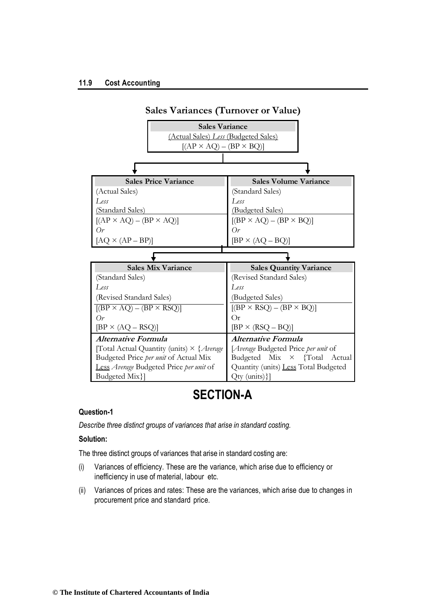#### **11.9 Cost Accounting**



# **SECTION-A**

#### **Question-1**

*Describe three distinct groups of variances that arise in standard costing.*

#### **Solution:**

The three distinct groups of variances that arise in standard costing are:

- (i) Variances of efficiency. These are the variance, which arise due to efficiency or inefficiency in use of material, labour etc.
- (ii) Variances of prices and rates: These are the variances, which arise due to changes in procurement price and standard price.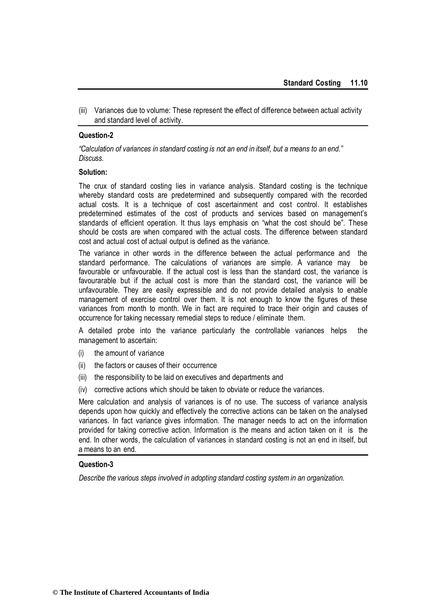(iii) Variances due to volume: These represent the effect of difference between actual activity and standard level of activity.

#### **Question-2**

*"Calculation of variances in standard costing is not an end in itself, but a means to an end." Discuss.*

#### **Solution:**

The crux of standard costing lies in variance analysis. Standard costing is the technique whereby standard costs are predetermined and subsequently compared with the recorded actual costs. It is a technique of cost ascertainment and cost control. It establishes predetermined estimates of the cost of products and services based on management's standards of efficient operation. It thus lays emphasis on "what the cost should be". These should be costs are when compared with the actual costs. The difference between standard cost and actual cost of actual output is defined as the variance.

The variance in other words in the difference between the actual performance and the standard performance. The calculations of variances are simple. A variance may be favourable or unfavourable. If the actual cost is less than the standard cost, the variance is favourarable but if the actual cost is more than the standard cost, the variance will be unfavourable. They are easily expressible and do not provide detailed analysis to enable management of exercise control over them. It is not enough to know the figures of these variances from month to month. We in fact are required to trace their origin and causes of occurrence for taking necessary remedial steps to reduce / eliminate them.

A detailed probe into the variance particularly the controllable variances helps the management to ascertain:

- (i) the amount of variance
- (ii) the factors or causes of their occurrence
- (iii) the responsibility to be laid on executives and departments and
- (iv) corrective actions which should be taken to obviate or reduce the variances.

Mere calculation and analysis of variances is of no use. The success of variance analysis depends upon how quickly and effectively the corrective actions can be taken on the analysed variances. In fact variance gives information. The manager needs to act on the information provided for taking corrective action. Information is the means and action taken on it is the end. In other words, the calculation of variances in standard costing is not an end in itself, but a means to an end.

#### **Question-3**

*Describe the various steps involved in adopting standard costing system in an organization.*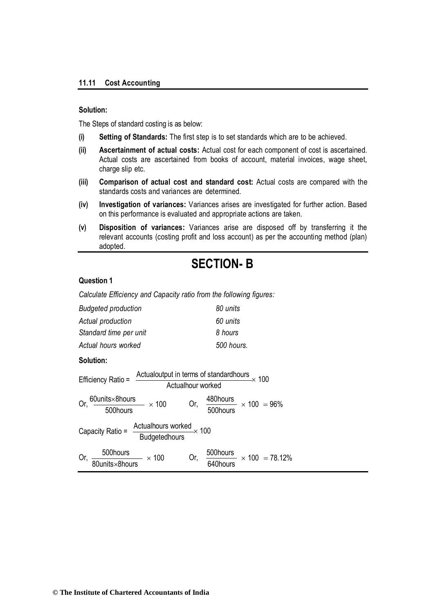#### **11.11 Cost Accounting**

#### **Solution:**

The Steps of standard costing is as below:

- **(i) Setting of Standards:** The first step is to set standards which are to be achieved.
- **(ii) Ascertainment of actual costs:** Actual cost for each component of cost is ascertained. Actual costs are ascertained from books of account, material invoices, wage sheet, charge slip etc.
- **(iii) Comparison of actual cost and standard cost:** Actual costs are compared with the standards costs and variances are determined.
- **(iv) Investigation of variances:** Variances arises are investigated for further action. Based on this performance is evaluated and appropriate actions are taken.
- **(v) Disposition of variances:** Variances arise are disposed off by transferring it the relevant accounts (costing profit and loss account) as per the accounting method (plan) adopted.

# **SECTION- B**

#### **Question 1**

*Calculate Efficiency and Capacity ratio from the following figures:* 

| <b>Budgeted production</b>                                                                                                                           | 80 units                                      |  |
|------------------------------------------------------------------------------------------------------------------------------------------------------|-----------------------------------------------|--|
| Actual production                                                                                                                                    | 60 units                                      |  |
| Standard time per unit                                                                                                                               | 8 hours                                       |  |
| Actual hours worked                                                                                                                                  | 500 hours.                                    |  |
| Solution:                                                                                                                                            |                                               |  |
| Actualoutput in terms of standardhours<br>Actualhour worked<br>X 100<br>Efficiency Ratio =                                                           |                                               |  |
| $\frac{60 \text{units} \times 8 \text{hours}}{500 \text{hours}} \times 100$ Or, $\frac{480 \text{hours}}{500 \text{hours}} \times 100 = 96\%$<br>Or, |                                               |  |
| $\frac{\text{Actualhours worked}}{\text{Budgetedhours}} \times 100$<br>Capacity Ratio =                                                              |                                               |  |
| $\frac{500 \text{hours}}{0 \text{units} \times 8 \text{hours}} \times 100$<br>Or,                                                                    | 500hours<br>640hours<br>$\times$ 100 = 78.12% |  |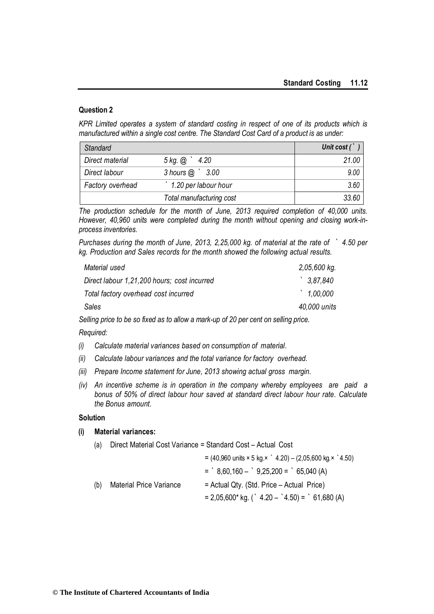*KPR Limited operates a system of standard costing in respect of one of its products which is manufactured within a single cost centre. The Standard Cost Card of a product is as under:*

| <b>Standard</b>  |                           | Unit cost $($ |
|------------------|---------------------------|---------------|
| Direct material  | $5 \text{ kg}$ . @ $4.20$ | 21.00         |
| Direct labour    | $3$ hours $@$ $3.00$      | 9.00          |
| Factory overhead | 1.20 per labour hour      | 3.60          |
|                  | Total manufacturing cost  | 33.60         |

*The production schedule for the month of June, 2013 required completion of 40,000 units. However, 40,960 units were completed during the month without opening and closing work-inprocess inventories.*

*Purchases during the month of June, 2013, 2,25,000 kg. of material at the rate of ` 4.50 per kg. Production and Sales records for the month showed the following actual results.*

| Material used                               | 2,05,600 kg. |
|---------------------------------------------|--------------|
| Direct labour 1,21,200 hours; cost incurred | 3,87,840     |
| Total factory overhead cost incurred        | 1,00,000     |
| Sales                                       | 40,000 units |

*Selling price to be so fixed as to allow a mark-up of 20 per cent on selling price.* 

*Required:*

- *(i) Calculate material variances based on consumption of material.*
- *(ii) Calculate labour variances and the total variance for factory overhead.*
- *(iii) Prepare Income statement for June, 2013 showing actual gross margin.*
- *(iv) An incentive scheme is in operation in the company whereby employees are paid a bonus of 50% of direct labour hour saved at standard direct labour hour rate. Calculate the Bonus amount.*

#### **Solution**

#### **(i) Material variances:**

|     |                         | $= (40,960 \text{ units} \times 5 \text{ kg.} \times 4.20) - (2,05,600 \text{ kg.} \times 4.50)$ |
|-----|-------------------------|--------------------------------------------------------------------------------------------------|
|     |                         | $=$ $8,60,160  9,25,200 =$ $65,040 (A)$                                                          |
| (b) | Material Price Variance | $=$ Actual Qty. (Std. Price $-$ Actual Price)                                                    |
|     |                         | $= 2,05,600*$ kg. (`4.20 – `4.50) = `61,680 (A)                                                  |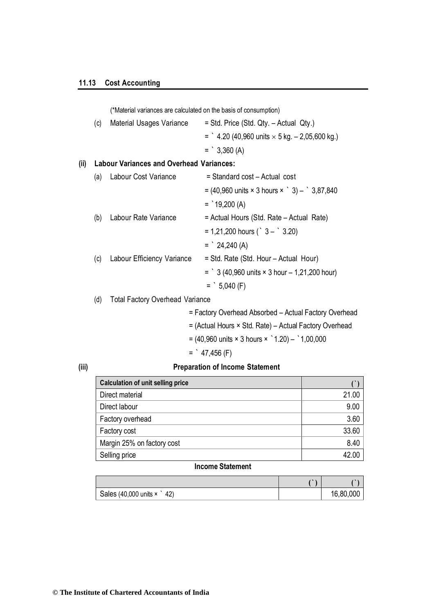|      |     | (*Material variances are calculated on the basis of consumption) |                                                                                       |  |  |  |  |  |
|------|-----|------------------------------------------------------------------|---------------------------------------------------------------------------------------|--|--|--|--|--|
|      | (c) | Material Usages Variance                                         | $=$ Std. Price (Std. Qty. $-$ Actual Qty.)                                            |  |  |  |  |  |
|      |     |                                                                  | $=$ 4.20 (40,960 units $\times$ 5 kg. – 2,05,600 kg.)                                 |  |  |  |  |  |
|      |     |                                                                  | $=$ 3,360 (A)                                                                         |  |  |  |  |  |
| (ii) |     | <b>Labour Variances and Overhead Variances:</b>                  |                                                                                       |  |  |  |  |  |
|      | (a) | Labour Cost Variance                                             | = Standard cost - Actual cost                                                         |  |  |  |  |  |
|      |     |                                                                  | $= (40,960 \text{ units} \times 3 \text{ hours} \times \degree 3) - \degree 3,87,840$ |  |  |  |  |  |
|      |     |                                                                  | $=$ 19,200 (A)                                                                        |  |  |  |  |  |
|      | (b) | Labour Rate Variance                                             | = Actual Hours (Std. Rate – Actual Rate)                                              |  |  |  |  |  |
|      |     |                                                                  | $= 1,21,200$ hours (` 3 – ` 3.20)                                                     |  |  |  |  |  |
|      |     |                                                                  | $=$ 24,240 (A)                                                                        |  |  |  |  |  |
|      | (c) | Labour Efficiency Variance                                       | = Std. Rate (Std. Hour – Actual Hour)                                                 |  |  |  |  |  |
|      |     |                                                                  | $=$ 3 (40,960 units $\times$ 3 hour $-$ 1,21,200 hour)                                |  |  |  |  |  |
|      |     |                                                                  | $=$ 5,040 (F)                                                                         |  |  |  |  |  |
|      | (d) | <b>Total Factory Overhead Variance</b>                           |                                                                                       |  |  |  |  |  |

= Factory Overhead Absorbed – Actual Factory Overhead

- = (Actual Hours × Std. Rate) Actual Factory Overhead
- $= (40,960 \text{ units} \times 3 \text{ hours} \times 1.20) 1.00,000$

$$
=
$$
  $47,456$  (F)

#### **(iii) Preparation of Income Statement**

| <b>Calculation of unit selling price</b> |       |
|------------------------------------------|-------|
| Direct material                          | 21.00 |
| Direct labour                            | 9.00  |
| Factory overhead                         | 3.60  |
| Factory cost                             | 33.60 |
| Margin 25% on factory cost               | 8.40  |
| Selling price                            | 42.00 |

#### **Income Statement**

| Sales (40,000 units x<br>42) | 16,80,000 |
|------------------------------|-----------|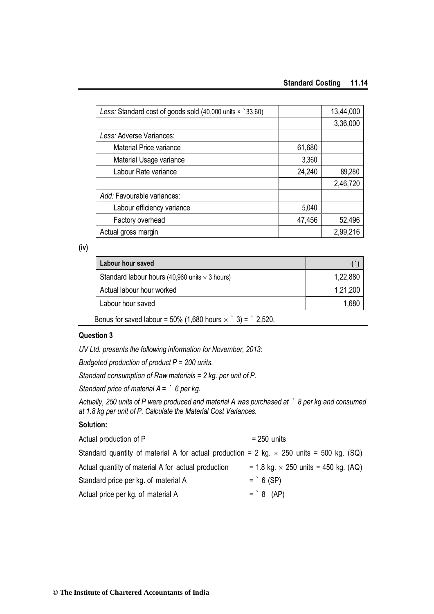#### **Standard Costing 11.14**

| Less: Standard cost of goods sold (40,000 units x `33.60) |        | 13,44,000 |
|-----------------------------------------------------------|--------|-----------|
|                                                           |        | 3,36,000  |
| Less: Adverse Variances:                                  |        |           |
| Material Price variance                                   | 61,680 |           |
| Material Usage variance                                   | 3,360  |           |
| Labour Rate variance                                      | 24,240 | 89,280    |
|                                                           |        | 2,46,720  |
| Add: Favourable variances:                                |        |           |
| Labour efficiency variance                                | 5,040  |           |
| Factory overhead                                          | 47,456 | 52,496    |
| Actual gross margin                                       |        | 2,99,216  |

**(iv)**

| <b>Labour hour saved</b>                                           |          |
|--------------------------------------------------------------------|----------|
| Standard labour hours (40,960 units $\times$ 3 hours)              | 1,22,880 |
| Actual labour hour worked                                          | 1,21,200 |
| Labour hour saved                                                  | 1,680    |
| Bonus for saved labour = 50% (1,680 hours $\times$ ` 3) = ` 2,520. |          |

#### **Question 3**

*UV Ltd. presents the following information for November, 2013:*

*Budgeted production of product P = 200 units.*

*Standard consumption of Raw materials = 2 kg. per unit of P.* 

*Standard price of material A = ` 6 per kg.*

*Actually, 250 units of P were produced and material A was purchased at ` 8 per kg and consumed at 1.8 kg per unit of P. Calculate the Material Cost Variances.*

#### **Solution:**

| Actual production of P                                                                          | $= 250$ units                               |
|-------------------------------------------------------------------------------------------------|---------------------------------------------|
| Standard quantity of material A for actual production = 2 kg. $\times$ 250 units = 500 kg. (SQ) |                                             |
| Actual quantity of material A for actual production                                             | = 1.8 kg. $\times$ 250 units = 450 kg. (AQ) |
| Standard price per kg. of material A                                                            | $=$ 6 (SP)                                  |
| Actual price per kg. of material A                                                              | $=$ 8 (AP)                                  |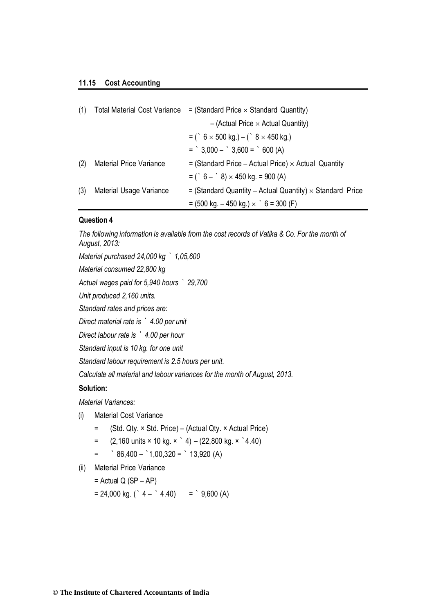#### **11.15 Cost Accounting**

| (1) | <b>Total Material Cost Variance</b> | $=$ (Standard Price $\times$ Standard Quantity)                   |
|-----|-------------------------------------|-------------------------------------------------------------------|
|     |                                     | $-$ (Actual Price $\times$ Actual Quantity)                       |
|     |                                     | = ( $6 \times 500$ kg.) – ( $8 \times 450$ kg.)                   |
|     |                                     | $=$ $3,000  3,600 =$ $600 (A)$                                    |
| (2) | <b>Material Price Variance</b>      | $=$ (Standard Price – Actual Price) $\times$ Actual Quantity      |
|     |                                     | $= (6 - 8) \times 450$ kg. = 900 (A)                              |
| (3) | Material Usage Variance             | $=$ (Standard Quantity – Actual Quantity) $\times$ Standard Price |
|     |                                     | $=$ (500 kg. – 450 kg.) $\times$ $\degree$ 6 = 300 (F)            |

#### **Question 4**

*The following information is available from the cost records of Vatika & Co. For the month of August, 2013:*

*Material purchased 24,000 kg ` 1,05,600* 

*Material consumed 22,800 kg*

*Actual wages paid for 5,940 hours ` 29,700* 

*Unit produced 2,160 units.*

*Standard rates and prices are:*

*Direct material rate is ` 4.00 per unit* 

*Direct labour rate is ` 4.00 per hour* 

*Standard input is 10 kg. for one unit*

*Standard labour requirement is 2.5 hours per unit.*

*Calculate all material and labour variances for the month of August, 2013.*

#### **Solution:**

*Material Variances:*

- (i) Material Cost Variance
	- = (Std. Qty. × Std. Price) (Actual Qty. × Actual Price)
	- $=$  (2,160 units  $\times$  10 kg.  $\times$   $\hat{ }$  4) (22,800 kg.  $\times$   $\hat{ }$  4.40)
	- $=$   $86,400 1,00,320 = 13,920 (A)$
- (ii) Material Price Variance

 $=$  Actual Q (SP – AP)

 $= 24,000 \text{ kg}$ . (` 4 – ` 4.40) = ` 9,600 (A)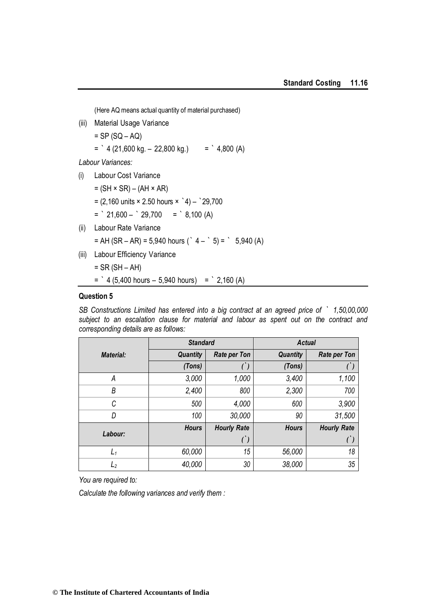(Here AQ means actual quantity of material purchased)

- (iii) Material Usage Variance
	- $=$  SP (SQ AQ)

 $=$   $4(21,600 \text{ kg.} - 22,800 \text{ kg.}) =$   $4,800(A)$ 

*Labour Variances:*

- (i) Labour Cost Variance
	- $=$  (SH  $\times$  SR) (AH  $\times$  AR)

 $= (2,160 \text{ units} \times 2.50 \text{ hours} \times 4) - 29,700$ 

- $=$   $21,600 29,700 =$   $8,100 (A)$
- (ii) Labour Rate Variance
	- $= AH (SR AR) = 5,940 hours (^ 4 ^ 5) = ^ 5,940 (A)$
- (iii) Labour Efficiency Variance

= SR (SH – AH)

 $=$   $4(5,400 \text{ hours} - 5,940 \text{ hours}) =$   $2,160(A)$ 

#### **Question 5**

*SB Constructions Limited has entered into a big contract at an agreed price of ` 1,50,00,000 subject to an escalation clause for material and labour as spent out on the contract and corresponding details are as follows:*

|                  | <b>Standard</b> |                     | <b>Actual</b>   |                     |  |
|------------------|-----------------|---------------------|-----------------|---------------------|--|
| <b>Material:</b> | <b>Quantity</b> | <b>Rate per Ton</b> | <b>Quantity</b> | <b>Rate per Ton</b> |  |
|                  | (Tons)          |                     | (Tons)          |                     |  |
| А                | 3,000           | 1,000               | 3,400           | 1,100               |  |
| B                | 2,400           | 800                 | 2,300           | 700                 |  |
| C                | 500             | 4,000               | 600             | 3,900               |  |
| D                | 100             | 30,000              | 90              | 31,500              |  |
| Labour:          | <b>Hours</b>    | <b>Hourly Rate</b>  | <b>Hours</b>    | <b>Hourly Rate</b>  |  |
|                  |                 | $^{\prime})$        |                 |                     |  |
| $L_1$            | 60,000          | 15                  | 56,000          | 18                  |  |
| L <sub>2</sub>   | 40,000          | 30                  | 38,000          | 35                  |  |

*You are required to:*

*Calculate the following variances and verify them :*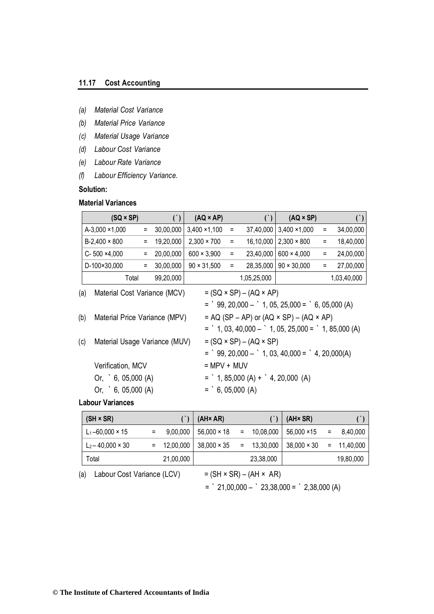#### **11.17 Cost Accounting**

- *(a) Material Cost Variance*
- *(b) Material Price Variance*
- *(c) Material Usage Variance*
- *(d) Labour Cost Variance*
- *(e) Labour Rate Variance*
- *(f) Labour Efficiency Variance.*

**Solution:**

#### **Material Variances**

| $(SQ \times SP)$                     |     | $($ )     | $(AQ \times AP)$     |          | $($ )                                     | $(AQ \times SP)$                                                                                               |          | $($ )       |
|--------------------------------------|-----|-----------|----------------------|----------|-------------------------------------------|----------------------------------------------------------------------------------------------------------------|----------|-------------|
| A-3,000 ×1,000                       | Ξ.  | 30,00,000 | $3,400 \times 1,100$ | $\equiv$ | 37,40,000                                 | $3,400 \times 1,000$                                                                                           | $\equiv$ | 34,00,000   |
| $B-2,400 \times 800$                 | $=$ | 19,20,000 | $2,300 \times 700$   | $\equiv$ | 16,10,000                                 | $2,300 \times 800$                                                                                             | $\equiv$ | 18,40,000   |
| $C - 500 \times 4,000$               | Ξ   | 20,00,000 | $600 \times 3,900$   | $\equiv$ | 23,40,000                                 | $600 \times 4,000$                                                                                             | $=$      | 24,00,000   |
| D-100×30,000                         | Ξ   | 30,00,000 | $90 \times 31,500$   | Ξ        | 28,35,000                                 | $90 \times 30,000$                                                                                             | $=$      | 27,00,000   |
| Total                                |     | 99,20,000 |                      |          | 1,05,25,000                               |                                                                                                                |          | 1,03,40,000 |
| Material Cost Variance (MCV)<br>(a)  |     |           |                      |          | $= (SQ \times SP) - (AQ \times AP)$       |                                                                                                                |          |             |
|                                      |     |           |                      |          |                                           | $=$ $99, 20,000  1, 05, 25,000 =$ $6, 05,000 (A)$                                                              |          |             |
| (b)<br>Material Price Variance (MPV) |     |           |                      |          |                                           | $= AQ (SP - AP)$ or $(AQ \times SP) - (AQ \times AP)$<br>$=$ 1, 03, 40,000 $-$ 1, 05, 25,000 $=$ 1, 85,000 (A) |          |             |
| (c)<br>Material Usage Variance (MUV) |     |           |                      |          | $= (SQ \times SP) - (AQ \times SP)$       |                                                                                                                |          |             |
|                                      |     |           |                      |          |                                           | $=$ $99, 20,000  1, 03, 40,000 =$ $4, 20,000(A)$                                                               |          |             |
| Verification, MCV                    |     |           | $= MPV + MUV$        |          |                                           |                                                                                                                |          |             |
| Or, $6, 05,000$ (A)                  |     |           |                      |          | $=$ 1, 85,000 (A) + $\cdot$ 4, 20,000 (A) |                                                                                                                |          |             |
| Or, $6, 05,000$ (A)                  |     |           | $=$ 6, 05,000 (A)    |          |                                           |                                                                                                                |          |             |
| ممموزیور / ۱۰۰۰ میلم ا               |     |           |                      |          |                                           |                                                                                                                |          |             |

#### **Labour Variances**

| $(SH \times SR)$         |                   | $(AH \times AR)$            |               | $(AH \times SR)$               |     |           |
|--------------------------|-------------------|-----------------------------|---------------|--------------------------------|-----|-----------|
| $L_1 - 60,000 \times 15$ | $9,00,000$ $\mid$ | $56,000 \times 18$          | $= 10,08,000$ | 56,000 ×15                     | $=$ | 8,40,000  |
| $L_2 - 40,000 \times 30$ |                   | $= 12,00,000$   38,000 × 35 | $= 13,30,000$ | $38,000 \times 30 = 11,40,000$ |     |           |
| Total                    | 21,00,000         |                             | 23,38,000     |                                |     | 19,80,000 |

- (a) Labour Cost Variance (LCV) =  $(SH \times SR) (AH \times AR)$ 
	-

 $=$   $21,00,000 23,38,000 =$   $2,38,000 (A)$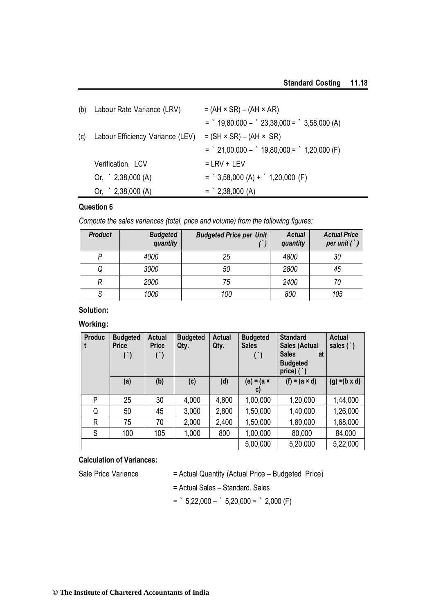|     | (b) Labour Rate Variance (LRV)   | $= (AH \times SR) - (AH \times AR)$          |
|-----|----------------------------------|----------------------------------------------|
|     |                                  | $=$ 19,80,000 $-$ 23,38,000 $=$ 3,58,000 (A) |
| (c) | Labour Efficiency Variance (LEV) | $= (SH \times SR) - (AH \times SR)$          |
|     |                                  | $=$ 21,00,000 $-$ 19,80,000 $=$ 1,20,000 (F) |
|     | Verification, LCV                | $= LRV + LEV$                                |
|     | Or, $\degree$ 2,38,000 (A)       | $=$ 3,58,000 (A) + $\degree$ 1,20,000 (F)    |
|     | Or, $\degree$ 2,38,000 (A)       | $=$ 2,38,000 (A)                             |

*Compute the sales variances (total, price and volume) from the following figures:*

| <b>Product</b> | <b>Budgeted</b><br>quantity | <b>Budgeted Price per Unit</b> | <b>Actual</b><br>quantity | <b>Actual Price</b><br>per unit $($ $)$ |
|----------------|-----------------------------|--------------------------------|---------------------------|-----------------------------------------|
|                | 4000                        | 25                             | 4800                      | 30                                      |
|                | 3000                        | 50                             | 2800                      | 45                                      |
|                | 2000                        | 75                             | 2400                      | 70                                      |
|                | 1000                        | 100                            | 800                       | 105                                     |

# **Solution:**

#### **Working:**

| <b>Produc</b> | <b>Budgeted</b><br><b>Price</b> | <b>Actual</b><br><b>Price</b><br>$($ ) | <b>Budgeted</b><br>Qty. | Actual<br>Qty. | <b>Budgeted</b><br><b>Sales</b><br>$($ ) | <b>Standard</b><br>Sales (Actual<br><b>Sales</b><br>at<br><b>Budgeted</b><br>price) $($ $)$ | <b>Actual</b><br>sales $(')$ |
|---------------|---------------------------------|----------------------------------------|-------------------------|----------------|------------------------------------------|---------------------------------------------------------------------------------------------|------------------------------|
|               | (a)                             | (b)                                    | (c)                     | (d)            | (e) = (a $\times$<br>$\mathsf{C}$        | $(f) = (a \times d)$                                                                        | $(g) = (b \times d)$         |
| P             | 25                              | 30                                     | 4,000                   | 4,800          | 1,00,000                                 | 1,20,000                                                                                    | 1,44,000                     |
| Q             | 50                              | 45                                     | 3,000                   | 2,800          | 1,50,000                                 | 1,40,000                                                                                    | 1,26,000                     |
| R             | 75                              | 70                                     | 2,000                   | 2,400          | 1,50,000                                 | 1,80,000                                                                                    | 1,68,000                     |
| S             | 100                             | 105                                    | 1,000                   | 800            | 1,00,000                                 | 80,000                                                                                      | 84,000                       |
|               |                                 |                                        |                         |                | 5,00,000                                 | 5,20,000                                                                                    | 5,22,000                     |

#### **Calculation of Variances:**

Sale Price Variance = Actual Quantity (Actual Price – Budgeted Price)

= Actual Sales – Standard. Sales

 $=$  ` 5,22,000  $-$  ` 5,20,000  $=$  ` 2,000 (F)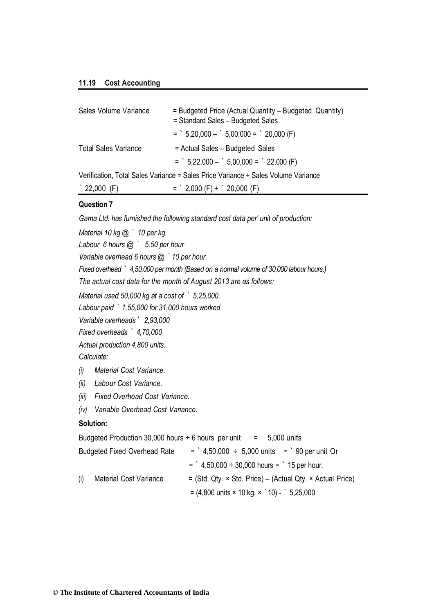#### **11.19 Cost Accounting**

| Sales Volume Variance       | = Budgeted Price (Actual Quantity – Budgeted Quantity)<br>= Standard Sales - Budgeted Sales |
|-----------------------------|---------------------------------------------------------------------------------------------|
|                             | $=$ 5,20,000 $-$ 5,00,000 $=$ 20,000 (F)                                                    |
| <b>Total Sales Variance</b> | = Actual Sales - Budgeted Sales                                                             |
|                             | $=$ $5,22,000  5,00,000 =$ $22,000$ (F)                                                     |
|                             | Verification, Total Sales Variance = Sales Price Variance + Sales Volume Variance           |
| $\degree$ 22,000 (F)        | $=$ 2,000 (F) + 20,000 (F)                                                                  |

#### **Question 7**

*Gama Ltd. has furnished the following standard cost data per' unit of production:* 

*Material 10 kg @ ` 10 per kg.*

*Labour 6 hours @ ` 5.50 per hour* 

*Variable overhead 6 hours @ `10 per hour.*

*Fixed overhead ` 4,50,000 per month (Based on a normal volume of 30,000 labour hours.) The actual cost data for the month of August 2013 are as follows:*

*Material used 50,000 kg at a cost of ` 5,25,000.* 

*Labour paid ` 1,55,000 for 31,000 hours worked* 

*Variable overheads` 2,93,000*

*Fixed overheads ` 4,70,000* 

*Actual production 4,800 units.* 

*Calculate:*

- *(i) Material Cost Variance.*
- *(ii) Labour Cost Variance.*
- *(iii) Fixed Overhead Cost Variance.*
- *(iv) Variable Overhead Cost Variance.*

#### **Solution:**

Budgeted Production 30,000 hours  $\div$  6 hours per unit = 5,000 units

| <b>Budgeted Fixed Overhead Rate</b> | $=$ 4,50,000 $\div$ 5,000 units $=$ 90 per unit Or                        |
|-------------------------------------|---------------------------------------------------------------------------|
|                                     | $=$ $4,50,000 \div 30,000$ hours $=$ $15$ per hour.                       |
| Material Cost Variance<br>(i)       | $=$ (Std. Qty. $\times$ Std. Price) – (Actual Qty. $\times$ Actual Price) |
|                                     | $= (4,800 \text{ units} \times 10 \text{ kg.} \times 10) - 5,25,000$      |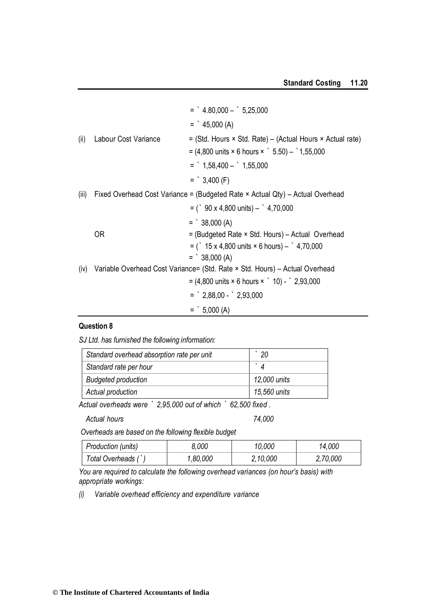|       |                      | $=$ $4.80,000  5,25,000$                                                                |
|-------|----------------------|-----------------------------------------------------------------------------------------|
|       |                      | $=$ $45,000(A)$                                                                         |
| (ii)  | Labour Cost Variance | $=$ (Std. Hours $\times$ Std. Rate) – (Actual Hours $\times$ Actual rate)               |
|       |                      | $= (4,800 \text{ units} \times 6 \text{ hours} \times \degree 5.50) - \degree 1,55,000$ |
|       |                      | $=$ 1,58,400 $-$ 1,55,000                                                               |
|       |                      | $=$ 3,400 (F)                                                                           |
| (iii) |                      | Fixed Overhead Cost Variance = (Budgeted Rate × Actual Qty) – Actual Overhead           |
|       |                      | $=$ ( $\degree$ 90 x 4,800 units) – $\degree$ 4,70,000                                  |
|       |                      | $=$ 38,000 (A)                                                                          |
|       | 0R                   | = (Budgeted Rate × Std. Hours) – Actual Overhead                                        |
|       |                      | $=$ ( $\degree$ 15 x 4,800 units $\times$ 6 hours) – $\degree$ 4,70,000                 |
|       |                      | $=$ 38,000 (A)                                                                          |
| (iv)  |                      | Variable Overhead Cost Variance= (Std. Rate × Std. Hours) - Actual Overhead             |
|       |                      | $= (4,800 \text{ units} \times 6 \text{ hours} \times 10) - 2,93,000$                   |
|       |                      | $=$ $2,88,00  2,93,000$                                                                 |
|       |                      | $=$ 5,000 (A)                                                                           |

*SJ Ltd. has furnished the following information:*

| Standard overhead absorption rate per unit | 20           |
|--------------------------------------------|--------------|
| Standard rate per hour                     |              |
| <b>Budgeted production</b>                 | 12,000 units |
| Actual production                          | 15,560 units |

*Actual overheads were ` 2,95,000 out of which ` 62,500 fixed .* 

*Actual hours 74,000*

*Overheads are based on the following flexible budget*

| Production (units)  | 8.000    | 10.000   | 14,000   |
|---------------------|----------|----------|----------|
| Total Overheads (`) | 1,80,000 | 2,10,000 | 2,70,000 |

You are required to calculate the following overhead variances (on hour's basis) with *appropriate workings:*

*(i) Variable overhead efficiency and expenditure variance*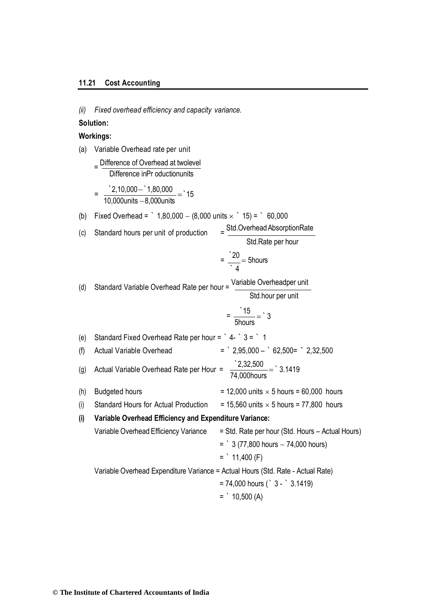#### **11.21 Cost Accounting**

*(ii) Fixed overhead efficiency and capacity variance.*

#### **Solution:**

#### **Workings:**

- (a) Variable Overhead rate per unit
	- = Difference of Overhead at twolevel Difference inPr oductionunits

$$
= \frac{2,10,000-1,80,000}{10,000 units - 8,000 units} = 15
$$

(b) Fixed Overhead = 
$$
1,80,000 - (8,000 units \times 15) = 60,000
$$

(c) Standard hours per unit of production = Std.Overhead AbsorptionRate Std.Rate per hour  $=\frac{20}{2}$  = 5hours  $\cdot$  4 (d) Standard Variable Overhead Rate per hour = Variable Overheadper unit Std.hour per unit  $=\frac{15}{2}$ 5hours  $=$  3 (e) Standard Fixed Overhead Rate per hour =  $\degree$  4-  $\degree$  3 =  $\degree$  1 (f) Actual Variable Overhead = ` 2,95,000 – ` 62,500= **`** 2,32,500 (g) Actual Variable Overhead Rate per Hour =  $\frac{2,32,500}{74,000}$ 74,000hours  $=$  3.1419 (h) Budgeted hours  $= 12,000$  units  $\times$  5 hours = 60,000 hours (i) Standard Hours for Actual Production = 15,560 units  $\times$  5 hours = 77,800 hours **(i) Variable Overhead Efficiency and Expenditure Variance:** Variable Overhead Efficiency Variance = Std. Rate per hour (Std. Hours – Actual Hours)  $=$   $3$  (77,800 hours  $-$  74,000 hours)  $=$   $11,400$  (F) Variable Overhead Expenditure Variance = Actual Hours (Std. Rate - Actual Rate)

$$
= 74,000
$$
 hours (° 3 -  $3.1419$ )

 $=$   $10,500(A)$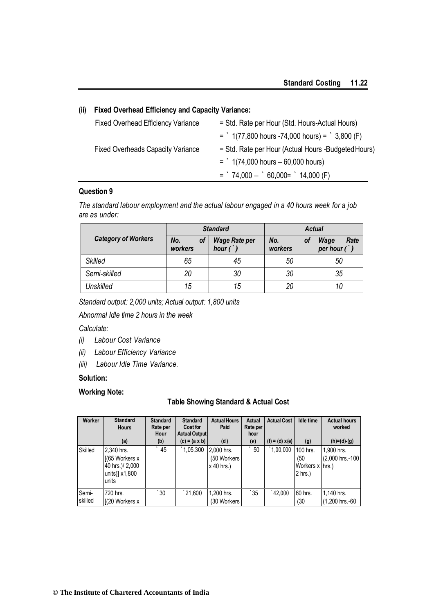#### **(ii) Fixed Overhead Efficiency and Capacity Variance:**

| <b>Fixed Overhead Efficiency Variance</b> | = Std. Rate per Hour (Std. Hours-Actual Hours)          |
|-------------------------------------------|---------------------------------------------------------|
|                                           | $=$ 1(77,800 hours -74,000 hours) = $\degree$ 3,800 (F) |
| <b>Fixed Overheads Capacity Variance</b>  | = Std. Rate per Hour (Actual Hours -Budgeted Hours)     |
|                                           | $=$ 1(74,000 hours $-60,000$ hours)                     |
|                                           | $=$ 74,000 $-$ 60,000 = 14,000 (F)                      |

#### **Question 9**

*The standard labour employment and the actual labour engaged in a 40 hours week for a job are as under:*

|                            |                      | <b>Standard</b>                        | Actual               |                                         |  |
|----------------------------|----------------------|----------------------------------------|----------------------|-----------------------------------------|--|
| <b>Category of Workers</b> | No.<br>οf<br>workers | <b>Wage Rate per</b><br>hour $(\cdot)$ | No.<br>οf<br>workers | Wage<br>Rate<br>per hour $\binom{1}{k}$ |  |
| <b>Skilled</b>             | 65                   | 45                                     | 50                   | 50                                      |  |
| Semi-skilled               | 20                   | 30                                     | 30                   | 35                                      |  |
| Unskilled                  | 15                   | 15                                     | 20                   | 10                                      |  |

*Standard output: 2,000 units; Actual output: 1,800 units* 

*Abnormal Idle time 2 hours in the week*

#### *Calculate:*

- *(i) Labour Cost Variance*
- *(ii) Labour Efficiency Variance*
- *(iii) Labour Idle Time Variance.*

#### **Solution:**

#### **Working Note:**

#### **Table Showing Standard & Actual Cost**

| Worker           | <b>Standard</b><br><b>Hours</b>                                                | <b>Standard</b><br>Rate per<br>Hour | <b>Standard</b><br><b>Cost for</b><br><b>Actual Output</b> | <b>Actual Hours</b><br>Paid                | Actual<br>Rate per<br>hour | <b>Actual Cost</b> | <b>Idle time</b>                                | <b>Actual hours</b><br>worked |
|------------------|--------------------------------------------------------------------------------|-------------------------------------|------------------------------------------------------------|--------------------------------------------|----------------------------|--------------------|-------------------------------------------------|-------------------------------|
|                  | (a)                                                                            | (b)                                 | $(c) = (a \times b)$                                       | (d)                                        | (e)                        | $(f) = (d) x(e)$   | (g)                                             | $(h)=(d)-(g)$                 |
| Skilled          | 2,340 hrs.<br>$[(65$ Workers x<br>40 hrs.)/ 2,000<br>units)] $x1,800$<br>units | 45                                  | 1,05,300                                                   | 2.000 hrs.<br>(50 Workers)<br>$x$ 40 hrs.) | 50                         | 1,00,000           | 100 hrs.<br>(50<br>Workers x hrs.)<br>$2$ hrs.) | 1,900 hrs.<br>(2,000 hrs.-100 |
| Semi-<br>skilled | 720 hrs.<br>[(20 Workers x                                                     | $\degree$ 30                        | $^{\degree}21.600$                                         | 1,200 hrs.<br>(30 Workers                  | 35                         | 42.000             | 60 hrs.<br>(30)                                 | 1,140 hrs.<br>(1,200 hrs.-60  |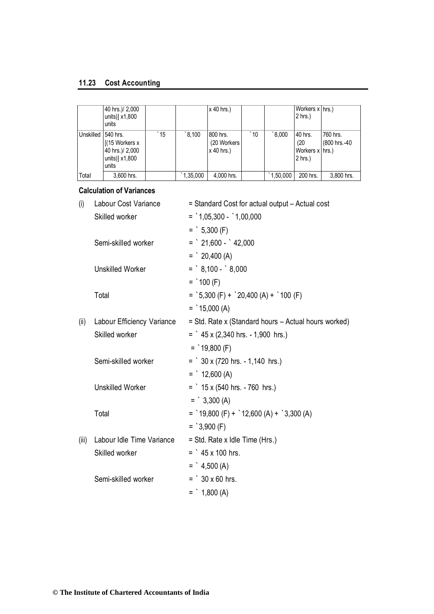#### **11.23 Cost Accounting**

|           | 40 hrs.)/ 2,000<br>units)] $x1,800$<br>units                                 |              |          | $x$ 40 hrs.)                           |              |                   | Workers x hrs.)<br>$2$ hrs.)                    |                           |
|-----------|------------------------------------------------------------------------------|--------------|----------|----------------------------------------|--------------|-------------------|-------------------------------------------------|---------------------------|
| Unskilled | 540 hrs.<br>$[(15$ Workers x<br>40 hrs.)/ 2,000<br>units)] $x1,800$<br>units | $^{\circ}15$ | 3.100    | 800 hrs.<br>(20 Workers)<br>x 40 hrs.) | $\degree$ 10 | $000.8^{\degree}$ | 40 hrs.<br>(20)<br>Workers x hrs.)<br>$2$ hrs.) | 760 hrs.<br>(800 hrs.-40) |
| Total     | 3,600 hrs.                                                                   |              | 1,35,000 | 4.000 hrs.                             |              | 1,50,000          | 200 hrs.                                        | 3.800 hrs.                |

#### **Calculation of Variances**

| (i)   | Labour Cost Variance       | = Standard Cost for actual output - Actual cost      |
|-------|----------------------------|------------------------------------------------------|
|       | Skilled worker             | $=$ 1,05,300 - 1,00,000                              |
|       |                            | $=$ 5,300 (F)                                        |
|       | Semi-skilled worker        | $=$ $21,600 - 42,000$                                |
|       |                            | $=$ 20,400 (A)                                       |
|       | <b>Unskilled Worker</b>    | $=$ $8,100 - 8,000$                                  |
|       |                            | $=$ 100 (F)                                          |
|       | Total                      | $=$ `5,300 (F) + `20,400 (A) + `100 (F)              |
|       |                            | $=$ 15,000 (A)                                       |
| (ii)  | Labour Efficiency Variance | = Std. Rate x (Standard hours - Actual hours worked) |
|       | Skilled worker             | $=$ $45 \times (2,340$ hrs. - 1,900 hrs.)            |
|       |                            | $=$ 19,800 (F)                                       |
|       | Semi-skilled worker        | $=$ $30 \times (720$ hrs. $-1,140$ hrs.)             |
|       |                            | $=$ 12,600 (A)                                       |
|       | <b>Unskilled Worker</b>    | $=$ 15 x (540 hrs. - 760 hrs.)                       |
|       |                            | $=$ $3,300(A)$                                       |
|       | Total                      | $=$ 19,800 (F) + 12,600 (A) + 3,300 (A)              |
|       |                            | $=$ 3,900 (F)                                        |
| (iii) | Labour Idle Time Variance  | = Std. Rate x Idle Time (Hrs.)                       |
|       | Skilled worker             | $=$ $45 \times 100$ hrs.                             |
|       |                            | $=$ $4,500(A)$                                       |
|       | Semi-skilled worker        | $=$ 30 x 60 hrs.                                     |
|       |                            | $=$ 1,800 (A)                                        |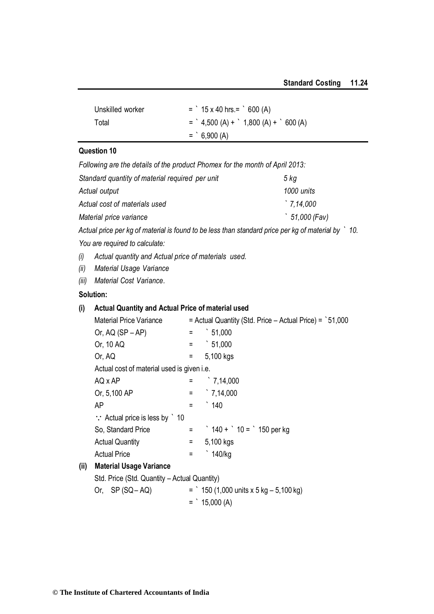| Unskilled worker | $=$ 15 x 40 hrs. = $\degree$ 600 (A)   |
|------------------|----------------------------------------|
| Total            | $=$ $4,500(A) +$ $1,800(A) +$ $600(A)$ |
|                  | $=$ 6,900 (A)                          |

*Following are the details of the product Phomex for the month of April 2013:* 

| Standard quantity of material required per unit | 5 kg               |
|-------------------------------------------------|--------------------|
| Actual output                                   | 1000 units         |
| Actual cost of materials used                   | $\degree$ 7.14.000 |
| Material price variance                         | 51,000 (Fav)       |

*Actual price per kg of material is found to be less than standard price per kg of material by ` 10.* 

*You are required to calculate:*

*(i) Actual quantity and Actual price of materials used.*

*(ii) Material Usage Variance*

*(iii) Material Cost Variance.*

#### **Solution:**

#### **(i) Actual Quantity and Actual Price of material used**

|      | <b>Material Price Variance</b>                       |     | $=$ Actual Quantity (Std. Price $-$ Actual Price) = $\dot{ }$ 51,000 |
|------|------------------------------------------------------|-----|----------------------------------------------------------------------|
|      | Or, $AQ(SP - AP)$                                    | Ξ   | $\degree$ 51,000                                                     |
|      | Or, 10 AQ                                            | $=$ | $\degree$ 51,000                                                     |
|      | Or, AQ                                               | Ξ   | 5,100 kgs                                                            |
|      | Actual cost of material used is given <i>i.e.</i>    |     |                                                                      |
|      | AQ x AP                                              |     | $\degree$ 7,14,000                                                   |
|      | Or, 5,100 AP                                         | Ξ   | $\degree$ 7,14,000                                                   |
|      | AP                                                   | $=$ | $\degree$ 140                                                        |
|      | $\therefore$ Actual price is less by $\therefore$ 10 |     |                                                                      |
|      | So, Standard Price                                   |     | $=$ 140 + 10 = 150 per kg                                            |
|      | <b>Actual Quantity</b>                               | $=$ | 5,100 kgs                                                            |
|      | <b>Actual Price</b>                                  | Ξ   | $\cdot$ 140/kg                                                       |
| (ii) | <b>Material Usage Variance</b>                       |     |                                                                      |
|      | Std. Price (Std. Quantity – Actual Quantity)         |     |                                                                      |
|      | Or, $SP(SQ - AQ)$                                    |     | $=$ 150 (1,000 units x 5 kg – 5,100 kg)                              |
|      |                                                      |     | $=$ 15,000 (A)                                                       |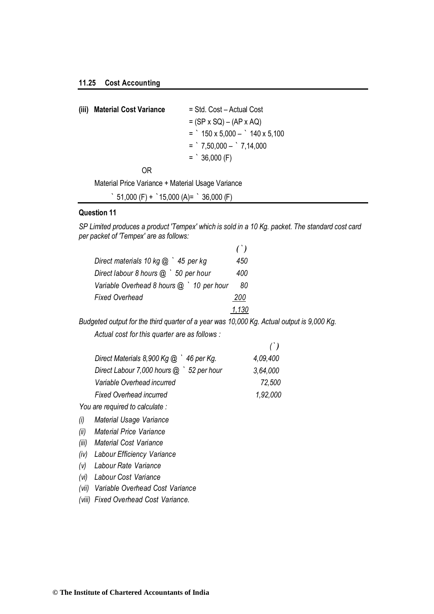| (iii) Material Cost Variance | $=$ Std. Cost – Actual Cost         |
|------------------------------|-------------------------------------|
|                              | $= (SP \times SQ) - (AP \times AQ)$ |
|                              | $=$ 150 x 5,000 $-$ 140 x 5,100     |
|                              | $=$ $7,50,000  7,14,000$            |
|                              | $=$ 36,000 (F)                      |
|                              |                                     |

OR

Material Price Variance + Material Usage Variance

 $\dot{ }$  51,000 (F) +  $\dot{ }$  15,000 (A)=  $\dot{ }$  36,000 (F)

#### **Question 11**

*SP Limited produces a product 'Tempex' which is sold in a 10 Kg. packet. The standard cost card per packet of 'Tempex' are as follows:*

|                                          | $($ ) |
|------------------------------------------|-------|
| Direct materials 10 kg $@$ $'$ 45 per kg | 450   |
| Direct labour 8 hours @ ` 50 per hour    | 400   |
| Variable Overhead 8 hours @ '10 per hour | 80    |
| Fixed Overhead                           | 200   |
|                                          | 1.130 |

*Budgeted output for the third quarter of a year was 10,000 Kg. Actual output is 9,000 Kg. Actual cost for this quarter are as follows :*

| $\left( \begin{array}{c} \cdot \\ \cdot \end{array} \right)$ |
|--------------------------------------------------------------|
| 4.09.400                                                     |
| 3.64.000                                                     |
| 72,500                                                       |
| 1.92,000                                                     |
|                                                              |

*You are required to calculate :*

*(i) Material Usage Variance*

*(ii) Material Price Variance*

*(iii) Material Cost Variance*

*(iv) Labour Efficiency Variance*

*(v) Labour Rate Variance*

*(vi) Labour Cost Variance*

*(vii) Variable Overhead Cost Variance*

*(viii) Fixed Overhead Cost Variance.*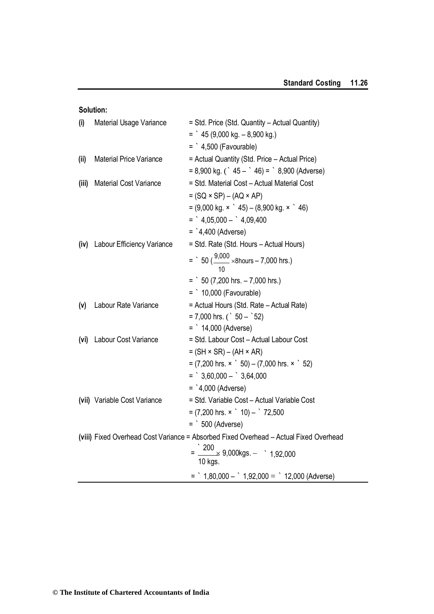| Solution: |  |
|-----------|--|
|           |  |

| (i)   | <b>Material Usage Variance</b>  | = Std. Price (Std. Quantity - Actual Quantity)<br>$=$ $45(9,000 kg. - 8,900 kg.)$     |
|-------|---------------------------------|---------------------------------------------------------------------------------------|
|       |                                 | $=$ $4,500$ (Favourable)                                                              |
| (ii)  | <b>Material Price Variance</b>  | = Actual Quantity (Std. Price - Actual Price)                                         |
|       |                                 | $= 8,900$ kg. ( $\dot{ }$ 45 – $\dot{ }$ 46) = $\dot{ }$ 8,900 (Adverse)              |
| (iii) | Material Cost Variance          | = Std. Material Cost - Actual Material Cost                                           |
|       |                                 | $= (SQ \times SP) - (AQ \times AP)$                                                   |
|       |                                 | $= (9,000 \text{ kg.} \times 45) - (8,900 \text{ kg.} \times 46)$                     |
|       |                                 | $=$ $4,05,000  4,09,400$                                                              |
|       |                                 | $=$ `4,400 (Adverse)                                                                  |
|       | (iv) Labour Efficiency Variance | = Std. Rate (Std. Hours - Actual Hours)                                               |
|       |                                 | = $\frac{9,000}{40}$ ×8hours – 7,000 hrs.)                                            |
|       |                                 | $=$ 50 (7,200 hrs. $-$ 7,000 hrs.)                                                    |
|       |                                 | $=$ 10,000 (Favourable)                                                               |
| (v)   | Labour Rate Variance            | = Actual Hours (Std. Rate - Actual Rate)                                              |
|       |                                 | $= 7,000$ hrs. ( $50 - 52$ )                                                          |
|       |                                 | $=$ 14,000 (Adverse)                                                                  |
| (vi)  | Labour Cost Variance            | = Std. Labour Cost - Actual Labour Cost                                               |
|       |                                 | $= (SH \times SR) - (AH \times AR)$                                                   |
|       |                                 | $= (7,200$ hrs. $\times$ $\degree$ 50) – (7,000 hrs. $\times$ $\degree$ 52)           |
|       |                                 | $=$ 3,60,000 - 3,64,000                                                               |
|       |                                 | $=$ `4,000 (Adverse)                                                                  |
|       | (vii) Variable Cost Variance    | = Std. Variable Cost - Actual Variable Cost                                           |
|       |                                 | $= (7,200$ hrs. $\times$ $\degree$ 10) $ \degree$ 72,500                              |
|       |                                 | $=$ 500 (Adverse)                                                                     |
|       |                                 | (viii) Fixed Overhead Cost Variance = Absorbed Fixed Overhead - Actual Fixed Overhead |
|       |                                 | $=\frac{200}{4} \times 9,000 \text{kgs.} - 1,92,000$<br>10 kgs.                       |
|       |                                 | = $\degree$ 1,80,000 - $\degree$ 1,92,000 = $\degree$ 12,000 (Adverse)                |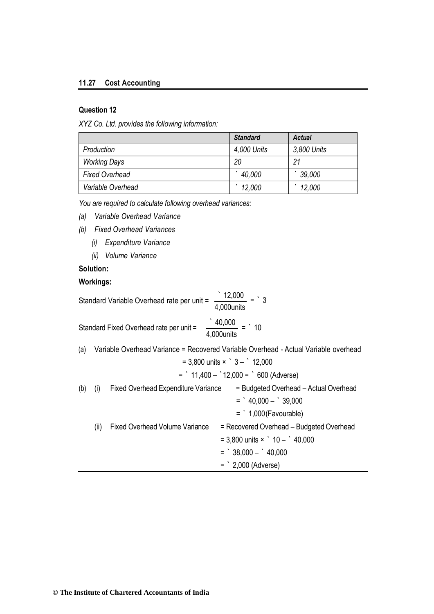#### **11.27 Cost Accounting**

#### **Question 12**

*XYZ Co. Ltd. provides the following information:*

|                       | <b>Standard</b> | <b>Actual</b> |
|-----------------------|-----------------|---------------|
| Production            | 4,000 Units     | 3,800 Units   |
| <b>Working Days</b>   | 20              | 21            |
| <b>Fixed Overhead</b> | 40,000          | 39,000        |
| Variable Overhead     | 12,000          | 12,000        |

*You are required to calculate following overhead variances:*

- *(a) Variable Overhead Variance*
- *(b) Fixed Overhead Variances*
	- *(i) Expenditure Variance*
	- *(ii) Volume Variance*

#### **Solution:**

#### **Workings:**

|            | Standard Variable Overhead rate per unit =    | $12,000 = 3$<br>4,000units                                                          |
|------------|-----------------------------------------------|-------------------------------------------------------------------------------------|
|            | Standard Fixed Overhead rate per unit =       | $\frac{1}{100}$ = 10<br>4,000units                                                  |
| (a)        |                                               | Variable Overhead Variance = Recovered Variable Overhead - Actual Variable overhead |
|            |                                               | $= 3,800$ units $\times$ $3 - 12,000$                                               |
|            |                                               | $=$ 11,400 - 12,000 = 600 (Adverse)                                                 |
| (b)<br>(i) | <b>Fixed Overhead Expenditure Variance</b>    | = Budgeted Overhead - Actual Overhead                                               |
|            |                                               | $=$ $40,000 -$ 39,000                                                               |
|            |                                               | $=$ 1,000 (Favourable)                                                              |
|            | <b>Fixed Overhead Volume Variance</b><br>(ii) | = Recovered Overhead - Budgeted Overhead                                            |
|            |                                               | $=$ 3,800 units $\times$ 10 - 10,000                                                |
|            |                                               | $=$ 38,000 $-$ 40,000                                                               |
|            |                                               | $=$ 2,000 (Adverse)                                                                 |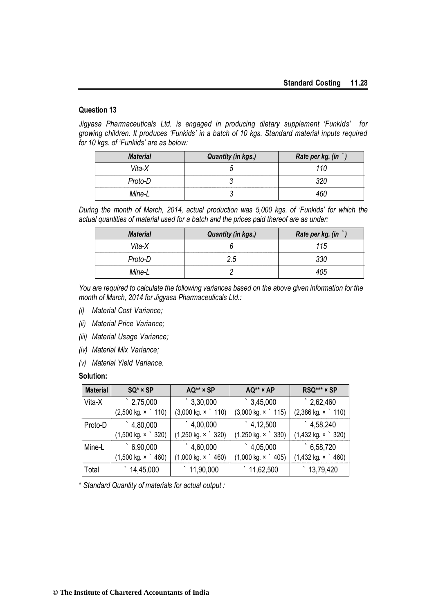*Jigyasa Pharmaceuticals Ltd. is engaged in producing dietary supplement 'Funkids' for growing children. It produces 'Funkids' in a batch of 10 kgs. Standard material inputs required for 10 kgs. of 'Funkids' are as below:*

| <b>Material</b> | <b>Quantity (in kgs.)</b> | Rate per kg. (in |
|-----------------|---------------------------|------------------|
| Vita-X          |                           | 110              |
| Proto-D         |                           | 320              |
| Mine-l          |                           | 460.             |

*During the month of March, 2014, actual production was 5,000 kgs. of 'Funkids' for which the actual quantities of material used for a batch and the prices paid thereof are as under:*

| <b>Material</b> | <b>Quantity (in kgs.)</b> | Rate per kg. (in |
|-----------------|---------------------------|------------------|
| Vita-X          |                           | 115              |
| Proto-D         | 2.5                       |                  |
| Mine-L          |                           |                  |

*You are required to calculate the following variances based on the above given information for the month of March, 2014 for Jigyasa Pharmaceuticals Ltd.:*

- *(i) Material Cost Variance;*
- *(ii) Material Price Variance;*
- *(iii) Material Usage Variance;*
- *(iv) Material Mix Variance;*
- *(v) Material Yield Variance.*

#### **Solution:**

| <b>Material</b> | $SQ^* \times SP$                  | AQ** × SP                         | AQ** x AP                         | RSQ*** × SP                       |  |
|-----------------|-----------------------------------|-----------------------------------|-----------------------------------|-----------------------------------|--|
| Vita-X          | $^{\degree}$ 2,75,000             | $\degree$ 3,30,000                | $\degree$ 3,45,000                | $\degree$ 2,62,460                |  |
|                 | $(2,500 \text{ kg. x} \cdot 110)$ | $(3,000 \text{ kg. x} \cdot 110)$ | $(3,000 \text{ kg. x} \cdot 115)$ | $(2,386 \text{ kg. x} \cdot 110)$ |  |
| Proto-D         | 4,80,000                          | $^{\circ}$ 4,00,000               | $\hat{4}$ , 12,500                | $\degree$ 4,58,240                |  |
|                 | $(1,500 \text{ kg. x} \cdot 320)$ | $(1,250 \text{ kg. x} \cdot 320)$ | $(1,250 \text{ kg. x} \cdot 330)$ | $(1,432 \text{ kg. x} \cdot 320)$ |  |
| Mine-L          | 6,90,000                          | $^{\circ}$ 4,60,000               | $\degree$ 4,05,000                | 6,58,720                          |  |
|                 | $(1,500 \text{ kg. x} \cdot 460)$ | $(1,000 \text{ kg. x} \cdot 460)$ | $(1,000 \text{ kg. x} \cdot 405)$ | $(1,432 \text{ kg. x} \cdot 460)$ |  |
| Total           | $\degree$ 14,45,000               | 11,90,000                         | $\degree$ 11,62,500               | $\degree$ 13,79,420               |  |

\* *Standard Quantity of materials for actual output :*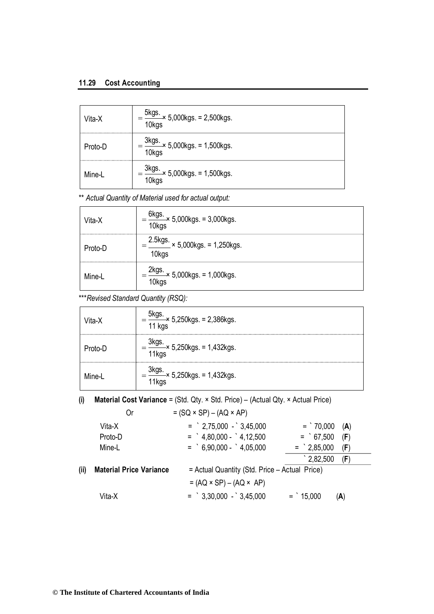#### **11.29 Cost Accounting**

| Vita-X  | $=$ $\frac{5 \text{kgs.}}{10 \text{kgs}} \times 5,000 \text{kgs.} = 2,500 \text{kgs.}$ |
|---------|----------------------------------------------------------------------------------------|
| Proto-D | $=\frac{3 \text{kgs}}{10 \text{kgs}} \times 5,000 \text{kgs.} = 1,500 \text{kgs.}$     |
| Mine-L  | $\frac{3 \text{kgs}}{10 \text{kgs}}$ × 5,000kgs. = 1,500kgs.                           |

\*\* *Actual Quantity of Material used for actual output:*

| Vita-X  | $\frac{6 \text{kgs}}{100 \text{kg}}$ x 5,000kgs. = 3,000kgs.<br>10kgs                     |
|---------|-------------------------------------------------------------------------------------------|
| Proto-D | $=\frac{2.5 \text{kgs}}{4} \times 5,000 \text{kgs}$ . = 1,250kgs.<br>10 <sub>kgs</sub>    |
| Mine-L  | $\frac{2 \text{kgs}}{100 \text{kg}} \times 5,000 \text{kgs} = 1,000 \text{kgs}.$<br>10kgs |

\*\*\**Revised Standard Quantity (RSQ):*

| Vita-X  | $\frac{\text{GKys.}}{11 \text{ kgs}}$ 5,250kgs. = 2,386kgs.               |
|---------|---------------------------------------------------------------------------|
| Proto-D | $=\frac{0.00055}{11 \text{kg}} \times 5,250 \text{kg}$ s. = 1,432kgs.     |
| Mine-l  | $=\frac{3 \text{kg}}{11 \text{kg}} \times 5,250 \text{kg}$ s. = 1,432kgs. |

**(i) Material Cost Variance** = (Std. Qty. × Std. Price) – (Actual Qty. × Actual Price)

|      | Or                             | $= (SQ \times SP) - (AQ \times AP)$           |                            |  |
|------|--------------------------------|-----------------------------------------------|----------------------------|--|
|      | Vita-X                         | $=$ 2,75,000 - 3,45,000                       | $=$ 70,000<br>(A)          |  |
|      | Proto-D                        | $=$ $4,80,000  4,12,500$                      | $=$ 67,500<br>(F)          |  |
|      | Mine-L                         | $=$ 6.90.000 - 4.05.000                       | $=$ 2,85,000<br>(F)        |  |
|      |                                |                                               | $^{\circ}$ 2,82,500<br>(F) |  |
| (ii) | <b>Material Price Variance</b> | = Actual Quantity (Std. Price - Actual Price) |                            |  |
|      |                                | $= (AQ \times SP) - (AQ \times AP)$           |                            |  |
|      | Vita-X                         | $=$ $3,30,000 - 3,45,000$                     | $=$ 15,000<br>(A)          |  |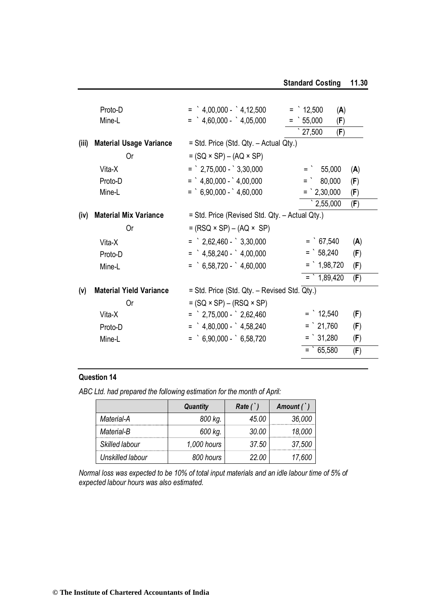|       | Proto-D<br>Mine-L              | $=$ $4,00,000 - 4,12,500$<br>$=$ $4,60,000  4,05,000$ | $=$ 12,500<br>(A)<br>$\degree$ 55,000<br>(F) |
|-------|--------------------------------|-------------------------------------------------------|----------------------------------------------|
|       |                                |                                                       | $\degree$ 27,500<br>(F)                      |
| (iii) | <b>Material Usage Variance</b> | = Std. Price (Std. Qty. - Actual Qty.)                |                                              |
|       | 0r                             | $= (SQ \times SP) - (AQ \times SP)$                   |                                              |
|       | Vita-X                         | $=$ $2,75,000  3,30,000$                              | $=$ 55,000<br>(A)                            |
|       | Proto-D                        | $=$ $4,80,000  4,00,000$                              | $=$ 80,000<br>(F)                            |
|       | Mine-L                         | $=$ 6,90,000 - 4,60,000                               | $=$ 2,30,000<br>(F)                          |
|       |                                |                                                       | $\degree$ 2,55,000<br>(F)                    |
| (iv)  | <b>Material Mix Variance</b>   | = Std. Price (Revised Std. Qty. - Actual Qty.)        |                                              |
|       | 0r                             | $= (RSQ \times SP) - (AQ \times SP)$                  |                                              |
|       | Vita-X                         | $=$ 2,62,460 - 3,30,000                               | $=$ 67,540<br>(A)                            |
|       | Proto-D                        | $=$ $4,58,240  4,00,000$                              | $=$ 58,240<br>(F)                            |
|       | Mine-L                         | $=$ 6,58,720 - 4,60,000                               | $=$ 1,98,720<br>(F)                          |
|       |                                |                                                       | $\frac{1}{2}$ 1,89,420<br>(F)                |
| (v)   | <b>Material Yield Variance</b> | = Std. Price (Std. Qty. - Revised Std. Qty.)          |                                              |
|       | Or                             | $= (SQ \times SP) - (RSQ \times SP)$                  |                                              |
|       | Vita-X                         | $=$ 2,75,000 - 2,62,460                               | $=$ 12,540<br>(F)                            |
|       | Proto-D                        | $=$ $4,80,000  4,58,240$                              | $=$ 21,760<br>(F)                            |
|       | Mine-L                         | $=$ 6,90,000 - 6,58,720                               | $=$ 31,280<br>(F)                            |
|       |                                |                                                       | $=$ 65,580<br>(F)                            |
|       |                                |                                                       |                                              |

*ABC Ltd. had prepared the following estimation for the month of April:*

|                  | <b>Quantity</b> | Rate(') | Amount $($ $)$ |
|------------------|-----------------|---------|----------------|
| Material-A       | 800 kg.         | 45.00   | 36,000         |
| Material-B       | 600 kg.         | 30.00   | 18,000         |
| Skilled labour   | 1,000 hours     | 37.50   | 37,500         |
| Unskilled labour | 800 hours       | 22 NO   | 17,600         |

*Normal loss was expected to be 10% of total input materials and an idle labour time of 5% of expected labour hours was also estimated.*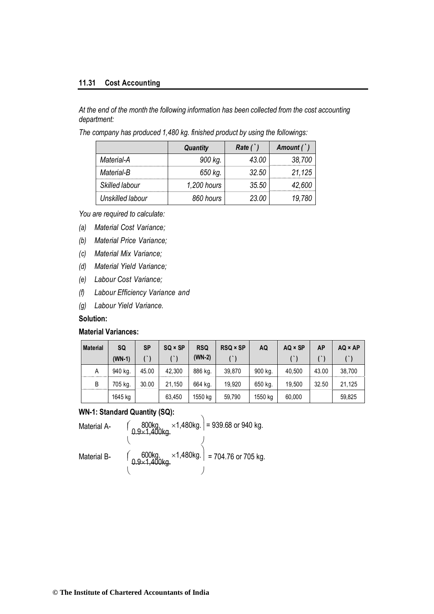#### **11.31 Cost Accounting**

*At the end of the month the following information has been collected from the cost accounting department:*

*The company has produced 1,480 kg. finished product by using the followings:*

|                  | <b>Quantity</b> | Rate(') | Amount $($ $)$ |  |
|------------------|-----------------|---------|----------------|--|
| Material-A       | 900 kg.         | 43 OO   | 38,700         |  |
| Material-B       | 650 kg.         | 32.50   | 21,125         |  |
| Skilled labour   | 1,200 hours     | 35.50   | 42.600         |  |
| Unskilled labour | 860 hours       | 23.00   |                |  |

*You are required to calculate:*

- *(a) Material Cost Variance;*
- *(b) Material Price Variance;*
- *(c) Material Mix Variance;*
- *(d) Material Yield Variance;*
- *(e) Labour Cost Variance;*
- *(f) Labour Efficiency Variance and*
- *(g) Labour Yield Variance.*

#### **Solution:**

#### **Material Variances:**

| <b>Material</b> | SQ       | <b>SP</b> | $SQ \times SP$ | <b>RSQ</b> | $RSQ \times SP$ | AQ      | $AQ \times SP$ | AP    | $AQ \times AP$ |
|-----------------|----------|-----------|----------------|------------|-----------------|---------|----------------|-------|----------------|
|                 | $(WN-1)$ |           |                | $(WN-2)$   |                 |         |                |       |                |
| A               | 940 kg.  | 45.00     | 42.300         | 886 kg.    | 39.870          | 900 kg. | 40.500         | 43.00 | 38.700         |
| B               | 705 kg.  | 30.00     | 21,150         | 664 kg.    | 19.920          | 650 kg. | 19.500         | 32.50 | 21,125         |
|                 | 1645 kg  |           | 63,450         | 1550 kg    | 59,790          | 1550 kg | 60,000         |       | 59,825         |

#### **WN-1: Standard Quantity (SQ):**

| Material A- | 800kg. $\times$ 1,480kg. = 939.68 or 940 kg.                                                                               |
|-------------|----------------------------------------------------------------------------------------------------------------------------|
| Material B- | $\begin{bmatrix} 600 \text{kg} & \times 1,480 \text{kg} \\ 0.9 \times 1,400 \text{kg} & \end{bmatrix}$ = 704.76 or 705 kg. |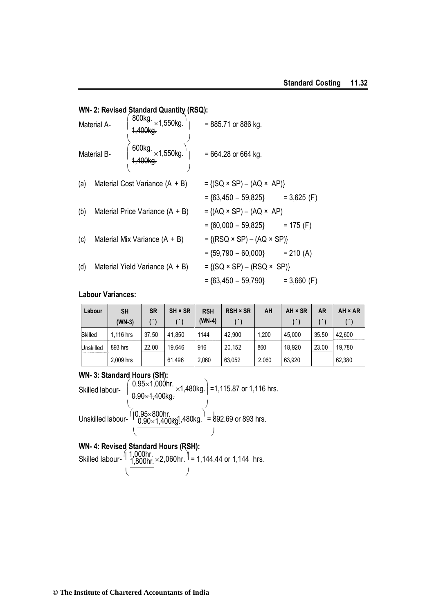### **WN- 2: Revised Standard Quantity (RSQ):**

| Material A- |  | 800kg. $\times$ 1,550kg.<br>1,400kg. | = 885.71 or 886 kg.                      |               |  |  |  |
|-------------|--|--------------------------------------|------------------------------------------|---------------|--|--|--|
| Material B- |  | 600kg. $\times$ 1,550kg.             | $= 664.28$ or 664 kg.                    |               |  |  |  |
| (a)         |  | Material Cost Variance (A + B)       | $= \{(SQ \times SP) - (AQ \times AP)\}$  |               |  |  |  |
|             |  |                                      | $= {63,450 - 59,825}$ = 3,625 (F)        |               |  |  |  |
| (b)         |  | Material Price Variance $(A + B)$    | $= \{(AQ \times SP) - (AQ \times AP)$    |               |  |  |  |
|             |  |                                      | $=$ {60,000 - 59,825} = 175 (F)          |               |  |  |  |
| (c)         |  | Material Mix Variance (A + B)        | $= \{(RSQ \times SP) - (AQ \times SP)\}$ |               |  |  |  |
|             |  |                                      | $=$ {59,790 - 60,000} = 210 (A)          |               |  |  |  |
| (d)         |  | Material Yield Variance $(A + B)$    | $= \{(SQ \times SP) - (RSQ \times SP)\}$ |               |  |  |  |
|             |  |                                      | $=$ {63,450 $-$ 59,790}                  | $= 3,660$ (F) |  |  |  |

#### **Labour Variances:**

| Labour    | <b>SH</b> | <b>SR</b> | SH × SR | <b>RSH</b> | <b>RSH × SR</b> | AH    | AH × SR | <b>AR</b> | AH × AR |
|-----------|-----------|-----------|---------|------------|-----------------|-------|---------|-----------|---------|
|           | $(WN-3)$  |           |         | (WN-4)     |                 |       |         |           |         |
| Skilled   | 1.116 hrs | 37.50     | 41.850  | 1144       | 42.900          | 1.200 | 45.000  | 35.50     | 42.600  |
| Unskilled | 893 hrs   | 22.00     | 19.646  | 916        | 20.152          | 860   | 18.920  | 23.00     | 19.780  |
|           | 2.009 hrs |           | 61.496  | 2,060      | 63,052          | 2.060 | 63,920  |           | 62,380  |

#### **WN- 3: Standard Hours (SH):**

Skilled labour-  $\left( \begin{array}{l} 0.95 \times 1,000$ hr.  $\times$ 1,480kg. $\end{array} \right)$  =1,115.87 or 1,116 hrs.  $\begin{pmatrix} 1 & 1 & 1 \\ 1 & 1 & 1 \end{pmatrix}$ Unskilled labour-  $\binom{10.95 \times 800$ hr.<br>10.90×1,400kg!,480kg.<sup>1</sup> = 892.69 or 893 hrs.  $($ 

#### **WN- 4: Revised Standard Hours (RSH):**

Skilled labour-  $(1,000$ hr.<br>Skilled labour-  $(1,800$ hr.  $\times 2,060$ hr.  $\vert = 1,144.44$  or 1,144 hrs.  $($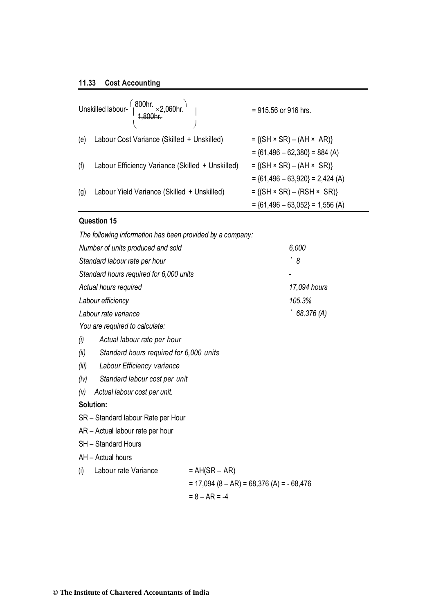#### **11.33 Cost Accounting**

|     | Unskilled labour- $\begin{pmatrix} 800 \text{hr.} \\ 1,800 \text{hr.} \end{pmatrix}$ | = 915.56 or 916 hrs.                       |
|-----|--------------------------------------------------------------------------------------|--------------------------------------------|
| (e) | Labour Cost Variance (Skilled + Unskilled)                                           | $= \{ (SH \times SR) - (AH \times AR) \}$  |
|     |                                                                                      | $=$ {61,496 - 62,380} = 884 (A)            |
| (f) | Labour Efficiency Variance (Skilled + Unskilled)                                     | $= \{(SH \times SR) - (AH \times SR)\}$    |
|     |                                                                                      | $=$ {61,496 - 63,920} = 2,424 (A)          |
| (g) | Labour Yield Variance (Skilled + Unskilled)                                          | $= \{ (SH \times SR) - (RSH \times SR) \}$ |
|     |                                                                                      | $=$ {61,496 - 63,052} = 1,556 (A)          |

#### **Question 15**

| The following information has been provided by a company: |                                            |              |  |  |
|-----------------------------------------------------------|--------------------------------------------|--------------|--|--|
| Number of units produced and sold                         |                                            | 6,000        |  |  |
| Standard labour rate per hour                             |                                            | 8            |  |  |
| Standard hours required for 6,000 units                   |                                            |              |  |  |
| Actual hours required                                     |                                            | 17,094 hours |  |  |
| Labour efficiency                                         |                                            | 105.3%       |  |  |
| Labour rate variance                                      |                                            | 68,376 (A)   |  |  |
| You are required to calculate:                            |                                            |              |  |  |
| Actual labour rate per hour<br>(i)                        |                                            |              |  |  |
| Standard hours required for 6,000 units<br>(ii)           |                                            |              |  |  |
| Labour Efficiency variance<br>(iii)                       |                                            |              |  |  |
| Standard labour cost per unit<br>(iv)                     |                                            |              |  |  |
| Actual labour cost per unit.<br>(v)                       |                                            |              |  |  |
| Solution:                                                 |                                            |              |  |  |
| SR - Standard labour Rate per Hour                        |                                            |              |  |  |
| AR - Actual labour rate per hour                          |                                            |              |  |  |
| <b>SH</b> - Standard Hours                                |                                            |              |  |  |
| AH - Actual hours                                         |                                            |              |  |  |
| Labour rate Variance<br>(i)                               | $= AH(SR - AR)$                            |              |  |  |
|                                                           | $= 17,094 (8 - AR) = 68,376 (A) = -68,476$ |              |  |  |
|                                                           | $= 8 - AR = -4$                            |              |  |  |